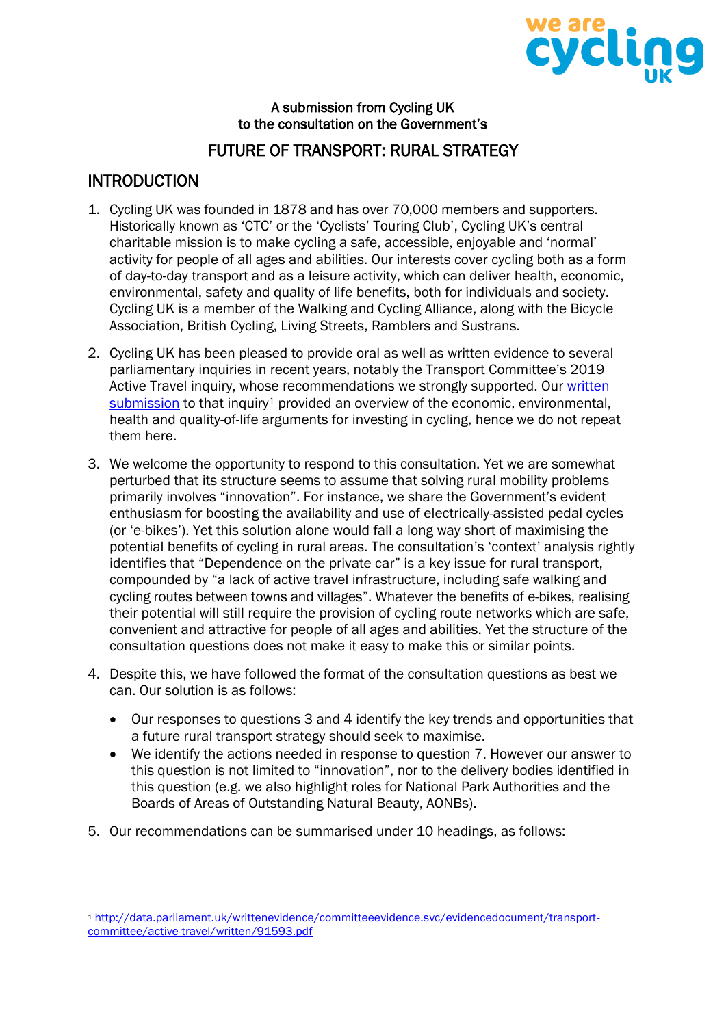

## A submission from Cycling UK to the consultation on the Government's

# FUTURE OF TRANSPORT: RURAL STRATEGY

## **INTRODUCTION**

- 1. Cycling UK was founded in 1878 and has over 70,000 members and supporters. Historically known as 'CTC' or the 'Cyclists' Touring Club', Cycling UK's central charitable mission is to make cycling a safe, accessible, enjoyable and 'normal' activity for people of all ages and abilities. Our interests cover cycling both as a form of day-to-day transport and as a leisure activity, which can deliver health, economic, environmental, safety and quality of life benefits, both for individuals and society. Cycling UK is a member of the Walking and Cycling Alliance, along with the Bicycle Association, British Cycling, Living Streets, Ramblers and Sustrans.
- 2. Cycling UK has been pleased to provide oral as well as written evidence to several parliamentary inquiries in recent years, notably the Transport Committee's 2019 Active Travel inquiry, whose recommendations we strongly supported. Our [written](http://data.parliament.uk/writtenevidence/committeeevidence.svc/evidencedocument/transport-committee/active-travel/written/91593.pdf)  [submission](http://data.parliament.uk/writtenevidence/committeeevidence.svc/evidencedocument/transport-committee/active-travel/written/91593.pdf) to that inquiry<sup>1</sup> provided an overview of the economic, environmental, health and quality-of-life arguments for investing in cycling, hence we do not repeat them here.
- 3. We welcome the opportunity to respond to this consultation. Yet we are somewhat perturbed that its structure seems to assume that solving rural mobility problems primarily involves "innovation". For instance, we share the Government's evident enthusiasm for boosting the availability and use of electrically-assisted pedal cycles (or 'e-bikes'). Yet this solution alone would fall a long way short of maximising the potential benefits of cycling in rural areas. The consultation's 'context' analysis rightly identifies that "Dependence on the private car" is a key issue for rural transport, compounded by "a lack of active travel infrastructure, including safe walking and cycling routes between towns and villages". Whatever the benefits of e-bikes, realising their potential will still require the provision of cycling route networks which are safe, convenient and attractive for people of all ages and abilities. Yet the structure of the consultation questions does not make it easy to make this or similar points.
- 4. Despite this, we have followed the format of the consultation questions as best we can. Our solution is as follows:
	- Our responses to questions 3 and 4 identify the key trends and opportunities that a future rural transport strategy should seek to maximise.
	- We identify the actions needed in response to question 7. However our answer to this question is not limited to "innovation", nor to the delivery bodies identified in this question (e.g. we also highlight roles for National Park Authorities and the Boards of Areas of Outstanding Natural Beauty, AONBs).
- 5. Our recommendations can be summarised under 10 headings, as follows:

<sup>1</sup> [http://data.parliament.uk/writtenevidence/committeeevidence.svc/evidencedocument/transport](http://data.parliament.uk/writtenevidence/committeeevidence.svc/evidencedocument/transport-committee/active-travel/written/91593.pdf)[committee/active-travel/written/91593.pdf](http://data.parliament.uk/writtenevidence/committeeevidence.svc/evidencedocument/transport-committee/active-travel/written/91593.pdf)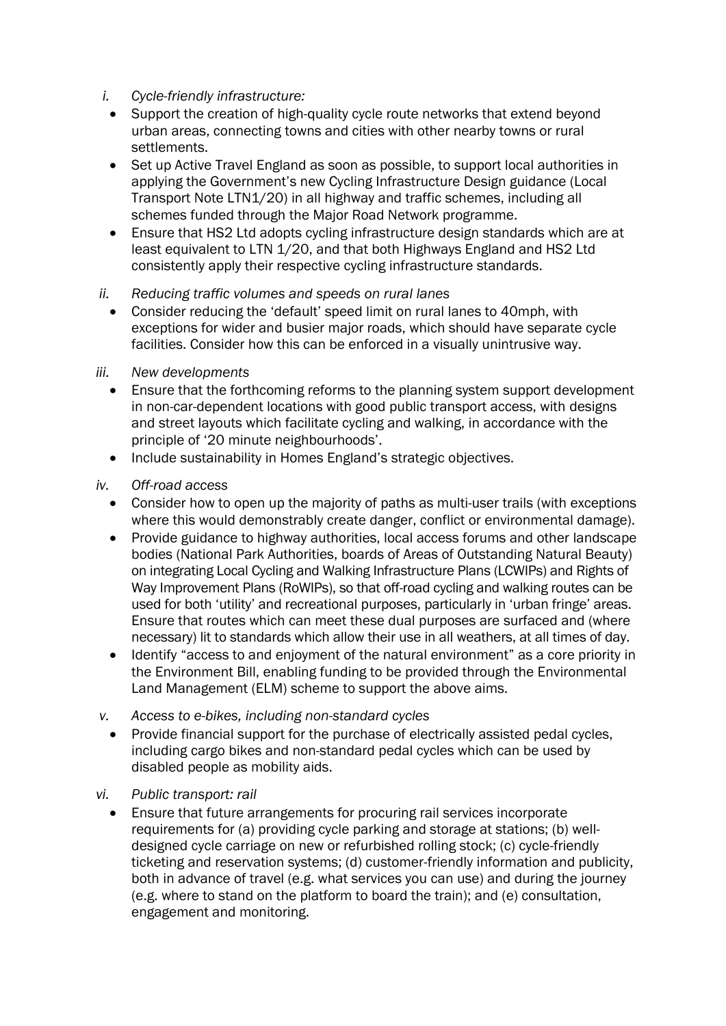- *i. Cycle-friendly infrastructure:*
- Support the creation of high-quality cycle route networks that extend beyond urban areas, connecting towns and cities with other nearby towns or rural settlements.
- Set up Active Travel England as soon as possible, to support local authorities in applying the Government's new Cycling Infrastructure Design guidance (Local Transport Note LTN1/20) in all highway and traffic schemes, including all schemes funded through the Major Road Network programme.
- Ensure that HS2 Ltd adopts cycling infrastructure design standards which are at least equivalent to LTN 1/20, and that both Highways England and HS2 Ltd consistently apply their respective cycling infrastructure standards.
- *ii. Reducing traffic volumes and speeds on rural lanes*
	- Consider reducing the 'default' speed limit on rural lanes to 40mph, with exceptions for wider and busier major roads, which should have separate cycle facilities. Consider how this can be enforced in a visually unintrusive way.

#### *iii. New developments*

- Ensure that the forthcoming reforms to the planning system support development in non-car-dependent locations with good public transport access, with designs and street layouts which facilitate cycling and walking, in accordance with the principle of '20 minute neighbourhoods'.
- Include sustainability in Homes England's strategic objectives.
- *iv. Off-road access*
	- Consider how to open up the majority of paths as multi-user trails (with exceptions where this would demonstrably create danger, conflict or environmental damage).
	- Provide guidance to highway authorities, local access forums and other landscape bodies (National Park Authorities, boards of Areas of Outstanding Natural Beauty) on integrating Local Cycling and Walking Infrastructure Plans (LCWIPs) and Rights of Way Improvement Plans (RoWIPs), so that off-road cycling and walking routes can be used for both 'utility' and recreational purposes, particularly in 'urban fringe' areas. Ensure that routes which can meet these dual purposes are surfaced and (where necessary) lit to standards which allow their use in all weathers, at all times of day.
	- Identify "access to and enjoyment of the natural environment" as a core priority in the Environment Bill, enabling funding to be provided through the Environmental Land Management (ELM) scheme to support the above aims.
- *v. Access to e-bikes, including non-standard cycles*
	- Provide financial support for the purchase of electrically assisted pedal cycles, including cargo bikes and non-standard pedal cycles which can be used by disabled people as mobility aids.
- *vi. Public transport: rail*
	- Ensure that future arrangements for procuring rail services incorporate requirements for (a) providing cycle parking and storage at stations; (b) welldesigned cycle carriage on new or refurbished rolling stock; (c) cycle-friendly ticketing and reservation systems; (d) customer-friendly information and publicity, both in advance of travel (e.g. what services you can use) and during the journey (e.g. where to stand on the platform to board the train); and (e) consultation, engagement and monitoring.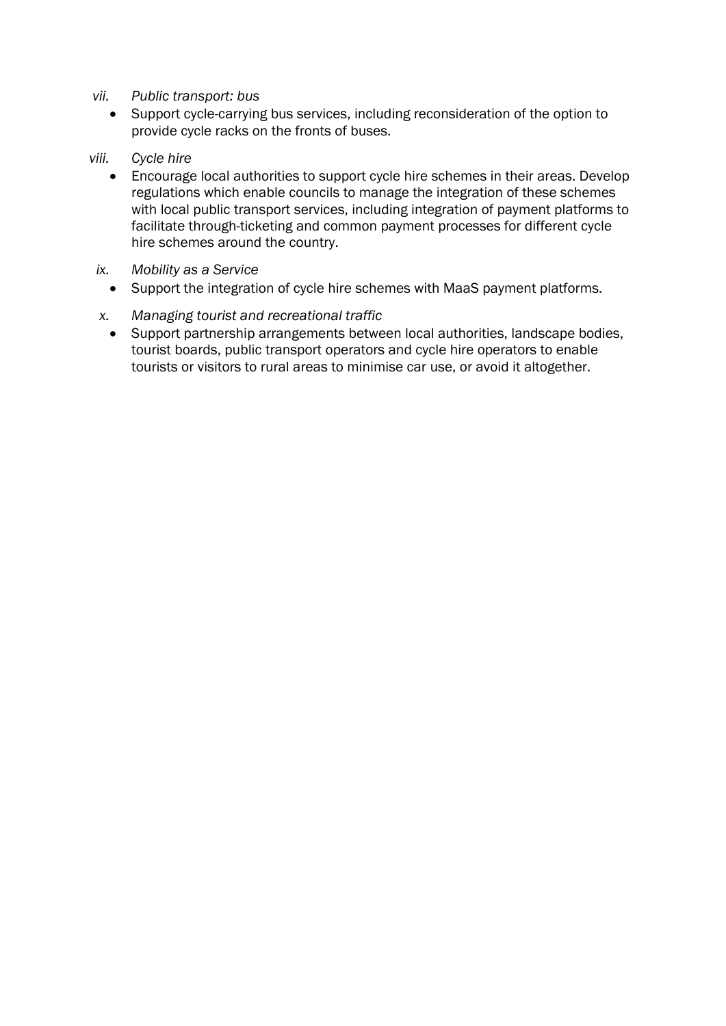- *vii. Public transport: bus*
	- Support cycle-carrying bus services, including reconsideration of the option to provide cycle racks on the fronts of buses.
- *viii. Cycle hire*
	- Encourage local authorities to support cycle hire schemes in their areas. Develop regulations which enable councils to manage the integration of these schemes with local public transport services, including integration of payment platforms to facilitate through-ticketing and common payment processes for different cycle hire schemes around the country.
	- *ix. Mobility as a Service*
		- Support the integration of cycle hire schemes with MaaS payment platforms.
	- *x. Managing tourist and recreational traffic*
		- Support partnership arrangements between local authorities, landscape bodies, tourist boards, public transport operators and cycle hire operators to enable tourists or visitors to rural areas to minimise car use, or avoid it altogether.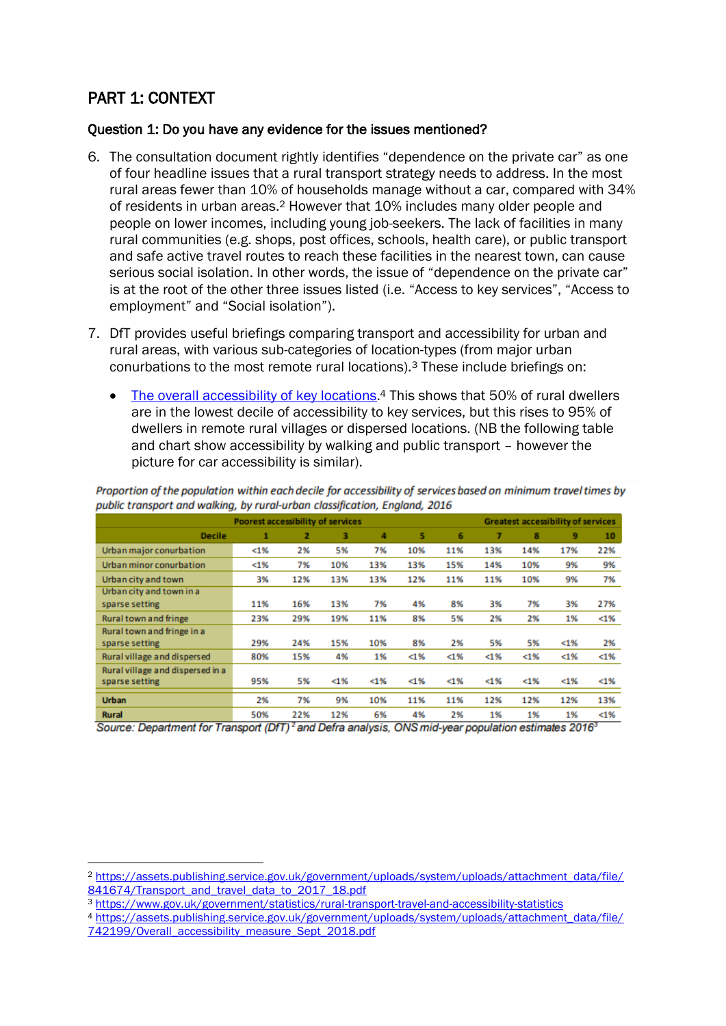# PART 1: CONTEXT

## Question 1: Do you have any evidence for the issues mentioned?

- 6. The consultation document rightly identifies "dependence on the private car" as one of four headline issues that a rural transport strategy needs to address. In the most rural areas fewer than 10% of households manage without a car, compared with 34% of residents in urban areas.<sup>2</sup> However that 10% includes many older people and people on lower incomes, including young job-seekers. The lack of facilities in many rural communities (e.g. shops, post offices, schools, health care), or public transport and safe active travel routes to reach these facilities in the nearest town, can cause serious social isolation. In other words, the issue of "dependence on the private car" is at the root of the other three issues listed (i.e. "Access to key services", "Access to employment" and "Social isolation").
- 7. DfT provides useful briefings comparing transport and accessibility for urban and rural areas, with various sub-categories of location-types (from major urban conurbations to the most remote rural locations).<sup>3</sup> These include briefings on:
	- [The overall accessibility of key locations.](https://assets.publishing.service.gov.uk/government/uploads/system/uploads/attachment_data/file/841674/Transport_and_travel_data_to_2017_18.pdf)<sup>4</sup> This shows that 50% of rural dwellers are in the lowest decile of accessibility to key services, but this rises to 95% of dwellers in remote rural villages or dispersed locations. (NB the following table and chart show accessibility by walking and public transport – however the picture for car accessibility is similar).

|                                  | Poorest accessibility of services |                         |     | <b>Greatest accessibility of services</b> |     |     |       |     |     |     |
|----------------------------------|-----------------------------------|-------------------------|-----|-------------------------------------------|-----|-----|-------|-----|-----|-----|
| <b>Decile</b>                    | 1                                 | $\overline{\mathbf{z}}$ | з   | 4                                         | 5   | 6   | 7     | 8   | 9   | 10  |
| Urban major conurbation          | 1%                                | 2%                      | 5%  | 7%                                        | 10% | 11% | 13%   | 14% | 17% | 22% |
| Urban minor conurbation          | 1%                                | 7%                      | 10% | 13%                                       | 13% | 15% | 14%   | 10% | 9%  | 9%  |
| Urban city and town              | 3%                                | 12%                     | 13% | 13%                                       | 12% | 11% | 11%   | 10% | 9%  | 7%  |
| Urban city and town in a         |                                   |                         |     |                                           |     |     |       |     |     |     |
| sparse setting                   | 11%                               | 16%                     | 13% | 7%                                        | 4%  | 8%  | 3%    | 7%  | 3%  | 27% |
| Rural town and fringe            | 23%                               | 29%                     | 19% | 11%                                       | 8%  | 5%  | 2%    | 2%  | 1%  | 1%  |
| Rural town and fringe in a       |                                   |                         |     |                                           |     |     |       |     |     |     |
| sparse setting                   | 29%                               | 24%                     | 15% | 10%                                       | 8%  | 2%  | 5%    | 5%  | 1%  | 2%  |
| Rural village and dispersed      | 80%                               | 15%                     | 4%  | 1%                                        | 4%  | ⊲%  | $4\%$ | 4%  | 1%  | 1%  |
| Rural village and dispersed in a |                                   |                         |     |                                           |     |     |       |     |     |     |
| sparse setting                   | 95%                               | 5%                      | 4%  | 1%                                        | 4%  | 4%  | 1%    | 1%  | 1%  | 1%  |
| <b>Urban</b>                     | 2%                                | 7%                      | 9%  | 10%                                       | 11% | 11% | 12%   | 12% | 12% | 13% |
| <b>Rural</b>                     | 50%                               | 22%                     | 12% | 6%                                        | 4%  | 2%  | 1%    | 1%  | 1%  | 1%  |

Proportion of the population within each decile for accessibility of services based on minimum travel times by public transport and walking, by rural-urban classification, England, 2016

Source: Department for Transport (DfT)<sup>2</sup> and Defra analysis, ONS mid-year population estimates 2016<sup>3</sup>

<sup>4</sup> [https://assets.publishing.service.gov.uk/government/uploads/system/uploads/attachment\\_data/file/](https://assets.publishing.service.gov.uk/government/uploads/system/uploads/attachment_data/file/742199/Overall_accessibility_measure_Sept_2018.pdf) [742199/Overall\\_accessibility\\_measure\\_Sept\\_2018.pdf](https://assets.publishing.service.gov.uk/government/uploads/system/uploads/attachment_data/file/742199/Overall_accessibility_measure_Sept_2018.pdf)

<sup>2</sup> [https://assets.publishing.service.gov.uk/government/uploads/system/uploads/attachment\\_data/file/](https://assets.publishing.service.gov.uk/government/uploads/system/uploads/attachment_data/file/841674/Transport_and_travel_data_to_2017_18.pdf) [841674/Transport\\_and\\_travel\\_data\\_to\\_2017\\_18.pdf](https://assets.publishing.service.gov.uk/government/uploads/system/uploads/attachment_data/file/841674/Transport_and_travel_data_to_2017_18.pdf)

<sup>3</sup> <https://www.gov.uk/government/statistics/rural-transport-travel-and-accessibility-statistics>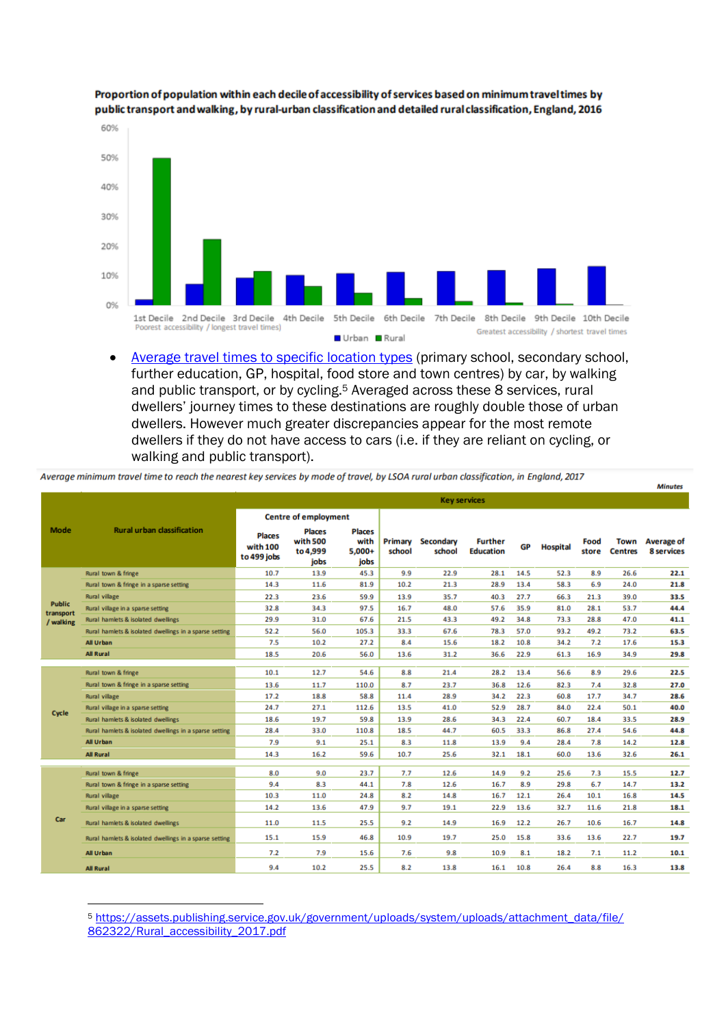

Proportion of population within each decile of accessibility of services based on minimum travel times by public transport and walking, by rural-urban classification and detailed rural classification, England, 2016

• [Average travel times to specific location types](https://assets.publishing.service.gov.uk/government/uploads/system/uploads/attachment_data/file/862322/Rural_accessibility_2017.pdf) (primary school, secondary school, further education, GP, hospital, food store and town centres) by car, by walking and public transport, or by cycling.<sup>5</sup> Averaged across these 8 services, rural dwellers' journey times to these destinations are roughly double those of urban dwellers. However much greater discrepancies appear for the most remote dwellers if they do not have access to cars (i.e. if they are reliant on cycling, or walking and public transport).

Average minimum travel time to reach the nearest key services by mode of travel, by LSOA rural urban classification, in England, 2017

|                                         |                                                        |                                          |                                               |                                           |                   |                     |                                    |      |                 |               |                        | <b>Minutes</b>                         |
|-----------------------------------------|--------------------------------------------------------|------------------------------------------|-----------------------------------------------|-------------------------------------------|-------------------|---------------------|------------------------------------|------|-----------------|---------------|------------------------|----------------------------------------|
|                                         |                                                        | <b>Key services</b>                      |                                               |                                           |                   |                     |                                    |      |                 |               |                        |                                        |
|                                         | <b>Rural urban classification</b>                      | <b>Centre of employment</b>              |                                               |                                           |                   |                     |                                    |      |                 |               |                        |                                        |
| <b>Mode</b>                             |                                                        | <b>Places</b><br>with 100<br>to 499 jobs | <b>Places</b><br>with 500<br>to 4,999<br>jobs | <b>Places</b><br>with<br>$5,000+$<br>jobs | Primary<br>school | Secondary<br>school | <b>Further</b><br><b>Education</b> | GP   | <b>Hospital</b> | Food<br>store | Town<br><b>Centres</b> | <b>Average of</b><br><b>8 services</b> |
| <b>Public</b><br>transport<br>/ walking | Rural town & fringe                                    | 10.7                                     | 13.9                                          | 45.3                                      | 9.9               | 22.9                | 28.1                               | 14.5 | 52.3            | 8.9           | 26.6                   | 22.1                                   |
|                                         | Rural town & fringe in a sparse setting                | 14.3                                     | 11.6                                          | 81.9                                      | 10.2              | 21.3                | 28.9                               | 13.4 | 58.3            | 6.9           | 24.0                   | 21.8                                   |
|                                         | Rural village                                          | 22.3                                     | 23.6                                          | 59.9                                      | 13.9              | 35.7                | 40.3                               | 27.7 | 66.3            | 21.3          | 39.0                   | 33.5                                   |
|                                         | Rural village in a sparse setting                      | 32.8                                     | 34.3                                          | 97.5                                      | 16.7              | 48.0                | 57.6                               | 35.9 | 81.0            | 28.1          | 53.7                   | 44.4                                   |
|                                         | Rural hamlets & isolated dwellings                     | 29.9                                     | 31.0                                          | 67.6                                      | 21.5              | 43.3                | 49.2                               | 34.8 | 73.3            | 28.8          | 47.0                   | 41.1                                   |
|                                         | Rural hamlets & isolated dwellings in a sparse setting | 52.2                                     | 56.0                                          | 105.3                                     | 33.3              | 67.6                | 78.3                               | 57.0 | 93.2            | 49.2          | 73.2                   | 63.5                                   |
|                                         | <b>All Urban</b>                                       | 7.5                                      | 10.2                                          | 27.2                                      | 8.4               | 15.6                | 18.2                               | 10.8 | 34.2            | 7.2           | 17.6                   | 15.3                                   |
|                                         | <b>All Rural</b>                                       | 18.5                                     | 20.6                                          | 56.0                                      | 13.6              | 31.2                | 36.6                               | 22.9 | 61.3            | 16.9          | 34.9                   | 29.8                                   |
|                                         |                                                        |                                          |                                               |                                           |                   |                     |                                    |      |                 |               |                        |                                        |
| Cycle                                   | Rural town & fringe                                    | 10.1                                     | 12.7                                          | 54.6                                      | 8.8               | 21.4                | 28.2                               | 13.4 | 56.6            | 8.9           | 29.6                   | 22.5                                   |
|                                         | Rural town & fringe in a sparse setting                | 13.6                                     | 11.7                                          | 110.0                                     | 8.7               | 23.7                | 36.8                               | 12.6 | 82.3            | 7.4           | 32.8                   | 27.0                                   |
|                                         | <b>Rural village</b>                                   | 17.2                                     | 18.8                                          | 58.8                                      | 11.4              | 28.9                | 34.2                               | 22.3 | 60.8            | 17.7          | 34.7                   | 28.6                                   |
|                                         | Rural village in a sparse setting                      | 24.7                                     | 27.1                                          | 112.6                                     | 13.5              | 41.0                | 52.9                               | 28.7 | 84.0            | 22.4          | 50.1                   | 40.0                                   |
|                                         | Rural hamlets & isolated dwellings                     | 18.6                                     | 19.7                                          | 59.8                                      | 13.9              | 28.6                | 34.3                               | 22.4 | 60.7            | 18.4          | 33.5                   | 28.9                                   |
|                                         | Rural hamlets & isolated dwellings in a sparse setting | 28.4                                     | 33.0                                          | 110.8                                     | 18.5              | 44.7                | 60.5                               | 33.3 | 86.8            | 27.4          | 54.6                   | 44.8                                   |
|                                         | All Urban                                              | 7.9                                      | 9.1                                           | 25.1                                      | 8.3               | 11.8                | 13.9                               | 9.4  | 28.4            | 7.8           | 14.2                   | 12.8                                   |
|                                         | <b>All Rural</b>                                       | 14.3                                     | 16.2                                          | 59.6                                      | 10.7              | 25.6                | 32.1                               | 18.1 | 60.0            | 13.6          | 32.6                   | 26.1                                   |
| Car                                     | Rural town & fringe                                    | 8.0                                      | 9.0                                           | 23.7                                      | 7.7               | 12.6                | 14.9                               | 9.2  | 25.6            | 7.3           | 15.5                   | 12.7                                   |
|                                         | Rural town & fringe in a sparse setting                | 9.4                                      | 8.3                                           | 44.1                                      | 7.8               | 12.6                | 16.7                               | 8.9  | 29.8            | 6.7           | 14.7                   | 13.2                                   |
|                                         | Rural village                                          | 10.3                                     | 11.0                                          | 24.8                                      | 8.2               | 14.8                | 16.7                               | 12.1 | 26.4            | 10.1          | 16.8                   | 14.5                                   |
|                                         | Rural village in a sparse setting                      | 14.2                                     | 13.6                                          | 47.9                                      | 9.7               | 19.1                | 22.9                               | 13.6 | 32.7            | 11.6          | 21.8                   | 18.1                                   |
|                                         | Rural hamlets & isolated dwellings                     | 11.0                                     | 11.5                                          | 25.5                                      | 9.2               | 14.9                | 16.9                               | 12.2 | 26.7            | 10.6          | 16.7                   | 14.8                                   |
|                                         | Rural hamlets & isolated dwellings in a sparse setting | 15.1                                     | 15.9                                          | 46.8                                      | 10.9              | 19.7                | 25.0                               | 15.8 | 33.6            | 13.6          | 22.7                   | 19.7                                   |
|                                         | All Urban                                              | 7.2                                      | 7.9                                           | 15.6                                      | 7.6               | 9.8                 | 10.9                               | 8.1  | 18.2            | 7.1           | 11.2                   | 10.1                                   |
|                                         | <b>All Rural</b>                                       | 9.4                                      | 10.2                                          | 25.5                                      | 8.2               | 13.8                | 16.1                               | 10.8 | 26.4            | 8.8           | 16.3                   | 13.8                                   |

<sup>5</sup> [https://assets.publishing.service.gov.uk/government/uploads/system/uploads/attachment\\_data/file/](https://assets.publishing.service.gov.uk/government/uploads/system/uploads/attachment_data/file/862322/Rural_accessibility_2017.pdf)  [862322/Rural\\_accessibility\\_2017.pdf](https://assets.publishing.service.gov.uk/government/uploads/system/uploads/attachment_data/file/862322/Rural_accessibility_2017.pdf)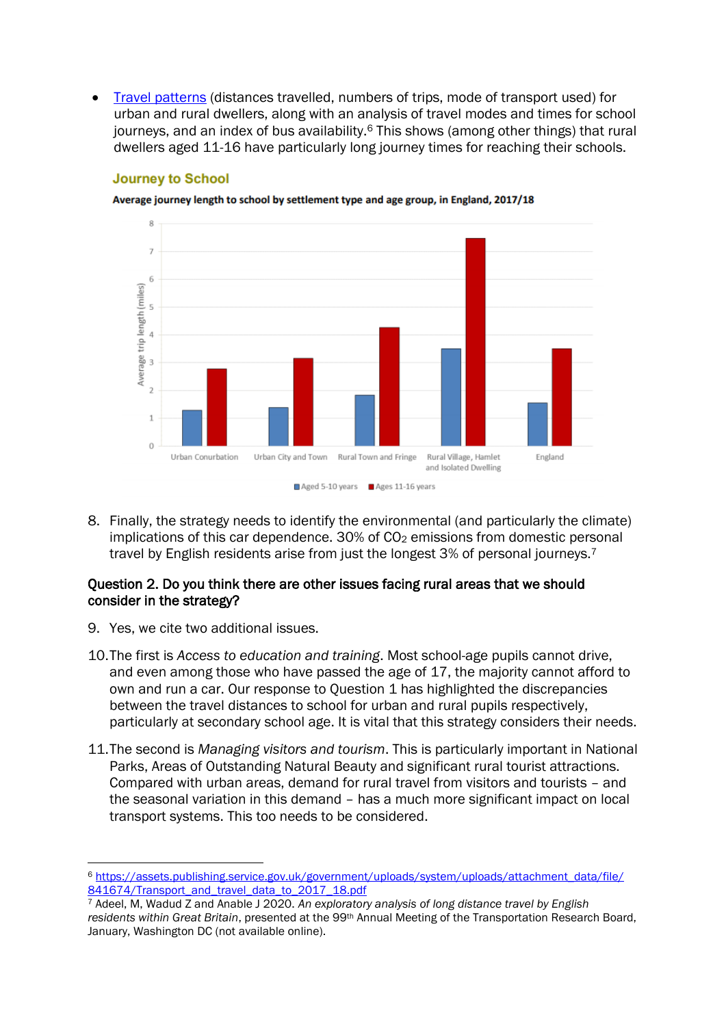• [Travel patterns](https://assets.publishing.service.gov.uk/government/uploads/system/uploads/attachment_data/file/841674/Transport_and_travel_data_to_2017_18.pdf) (distances travelled, numbers of trips, mode of transport used) for urban and rural dwellers, along with an analysis of travel modes and times for school journeys, and an index of bus availability.<sup>6</sup> This shows (among other things) that rural dwellers aged 11-16 have particularly long journey times for reaching their schools.

#### **Journey to School**

Average journey length to school by settlement type and age group, in England, 2017/18



8. Finally, the strategy needs to identify the environmental (and particularly the climate) implications of this car dependence.  $30\%$  of  $CO<sub>2</sub>$  emissions from domestic personal travel by English residents arise from just the longest 3% of personal journeys.<sup>7</sup>

#### Question 2. Do you think there are other issues facing rural areas that we should consider in the strategy?

- 9. Yes, we cite two additional issues.
- 10.The first is *Access to education and training*. Most school-age pupils cannot drive, and even among those who have passed the age of 17, the majority cannot afford to own and run a car. Our response to Question 1 has highlighted the discrepancies between the travel distances to school for urban and rural pupils respectively, particularly at secondary school age. It is vital that this strategy considers their needs.
- 11.The second is *Managing visitors and tourism*. This is particularly important in National Parks, Areas of Outstanding Natural Beauty and significant rural tourist attractions. Compared with urban areas, demand for rural travel from visitors and tourists – and the seasonal variation in this demand – has a much more significant impact on local transport systems. This too needs to be considered.

<sup>6</sup> [https://assets.publishing.service.gov.uk/government/uploads/system/uploads/attachment\\_data/file/](https://assets.publishing.service.gov.uk/government/uploads/system/uploads/attachment_data/file/841674/Transport_and_travel_data_to_2017_18.pdf)  [841674/Transport\\_and\\_travel\\_data\\_to\\_2017\\_18.pdf](https://assets.publishing.service.gov.uk/government/uploads/system/uploads/attachment_data/file/841674/Transport_and_travel_data_to_2017_18.pdf)

<sup>7</sup> Adeel, M, Wadud Z and Anable J 2020. *An exploratory analysis of long distance travel by English*  residents within Great Britain, presented at the 99<sup>th</sup> Annual Meeting of the Transportation Research Board, January, Washington DC (not available online).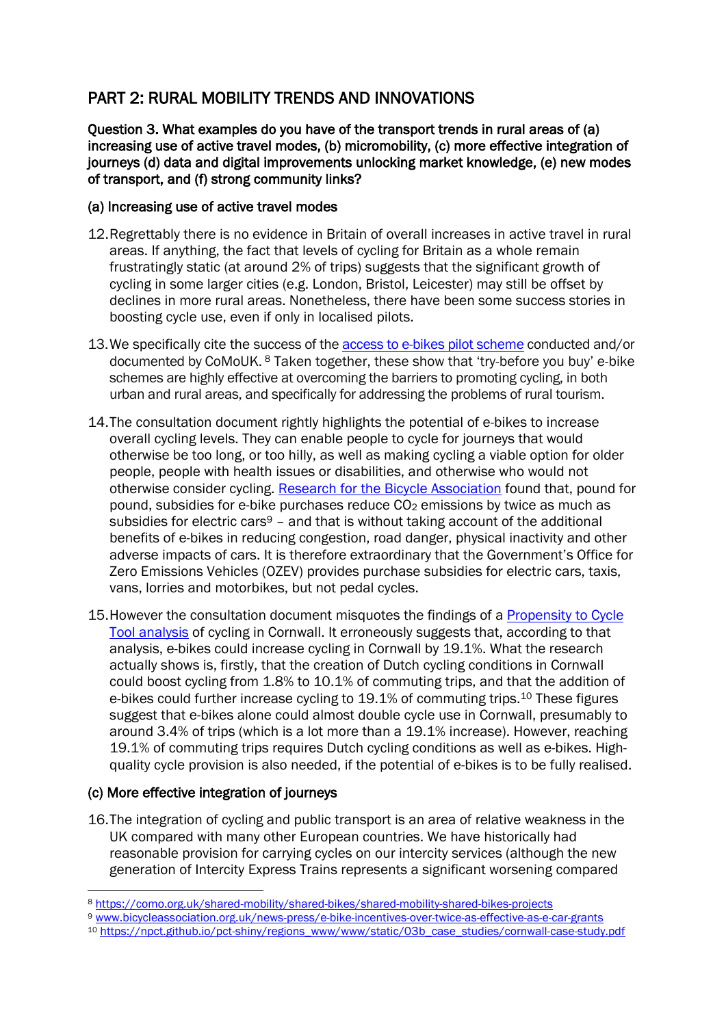# PART 2: RURAL MOBILITY TRENDS AND INNOVATIONS

Question 3. What examples do you have of the transport trends in rural areas of (a) increasing use of active travel modes, (b) micromobility, (c) more effective integration of journeys (d) data and digital improvements unlocking market knowledge, (e) new modes of transport, and (f) strong community links?

## (a) Increasing use of active travel modes

- 12.Regrettably there is no evidence in Britain of overall increases in active travel in rural areas. If anything, the fact that levels of cycling for Britain as a whole remain frustratingly static (at around 2% of trips) suggests that the significant growth of cycling in some larger cities (e.g. London, Bristol, Leicester) may still be offset by declines in more rural areas. Nonetheless, there have been some success stories in boosting cycle use, even if only in localised pilots.
- 13.We specifically cite the success of the [access to e-bikes pilot scheme](https://como.org.uk/shared-mobility/shared-bikes/shared-mobility-shared-bikes-projects/) conducted and/or documented by CoMoUK. <sup>8</sup> Taken together, these show that 'try-before you buy' e-bike schemes are highly effective at overcoming the barriers to promoting cycling, in both urban and rural areas, and specifically for addressing the problems of rural tourism.
- 14.The consultation document rightly highlights the potential of e-bikes to increase overall cycling levels. They can enable people to cycle for journeys that would otherwise be too long, or too hilly, as well as making cycling a viable option for older people, people with health issues or disabilities, and otherwise who would not otherwise consider cycling. [Research for the Bicycle Association](https://www.bicycleassociation.org.uk/news-press/e-bike-incentives-over-twice-as-effective-as-e-car-grants/) found that, pound for pound, subsidies for e-bike purchases reduce  $CO<sub>2</sub>$  emissions by twice as much as subsidies for electric cars $9 -$  and that is without taking account of the additional benefits of e-bikes in reducing congestion, road danger, physical inactivity and other adverse impacts of cars. It is therefore extraordinary that the Government's Office for Zero Emissions Vehicles (OZEV) provides purchase subsidies for electric cars, taxis, vans, lorries and motorbikes, but not pedal cycles.
- 15.However the consultation document misquotes the findings of a [Propensity to Cycle](https://npct.github.io/pct-shiny/regions_www/www/static/03b_case_studies/cornwall-case-study.pdf)  [Tool analysis](https://npct.github.io/pct-shiny/regions_www/www/static/03b_case_studies/cornwall-case-study.pdf) of cycling in Cornwall. It erroneously suggests that, according to that analysis, e-bikes could increase cycling in Cornwall by 19.1%. What the research actually shows is, firstly, that the creation of Dutch cycling conditions in Cornwall could boost cycling from 1.8% to 10.1% of commuting trips, and that the addition of e-bikes could further increase cycling to 19.1% of commuting trips.<sup>10</sup> These figures suggest that e-bikes alone could almost double cycle use in Cornwall, presumably to around 3.4% of trips (which is a lot more than a 19.1% increase). However, reaching 19.1% of commuting trips requires Dutch cycling conditions as well as e-bikes. Highquality cycle provision is also needed, if the potential of e-bikes is to be fully realised.

## (c) More effective integration of journeys

16.The integration of cycling and public transport is an area of relative weakness in the UK compared with many other European countries. We have historically had reasonable provision for carrying cycles on our intercity services (although the new generation of Intercity Express Trains represents a significant worsening compared

<sup>9</sup> [www.bicycleassociation.org.uk/news-press/e-bike-incentives-over-twice-as-effective-as-e-car-grants](http://www.bicycleassociation.org.uk/news-press/e-bike-incentives-over-twice-as-effective-as-e-car-grants)

<sup>8</sup> [https://como.org.uk/shared-mobility/shared-bikes/shared-mobility-shared-bikes-projects](https://como.org.uk/shared-mobility/shared-bikes/shared-mobility-shared-bikes-projects/)

<sup>10</sup> [https://npct.github.io/pct-shiny/regions\\_www/www/static/03b\\_case\\_studies/cornwall-case-study.pdf](https://npct.github.io/pct-shiny/regions_www/www/static/03b_case_studies/cornwall-case-study.pdf)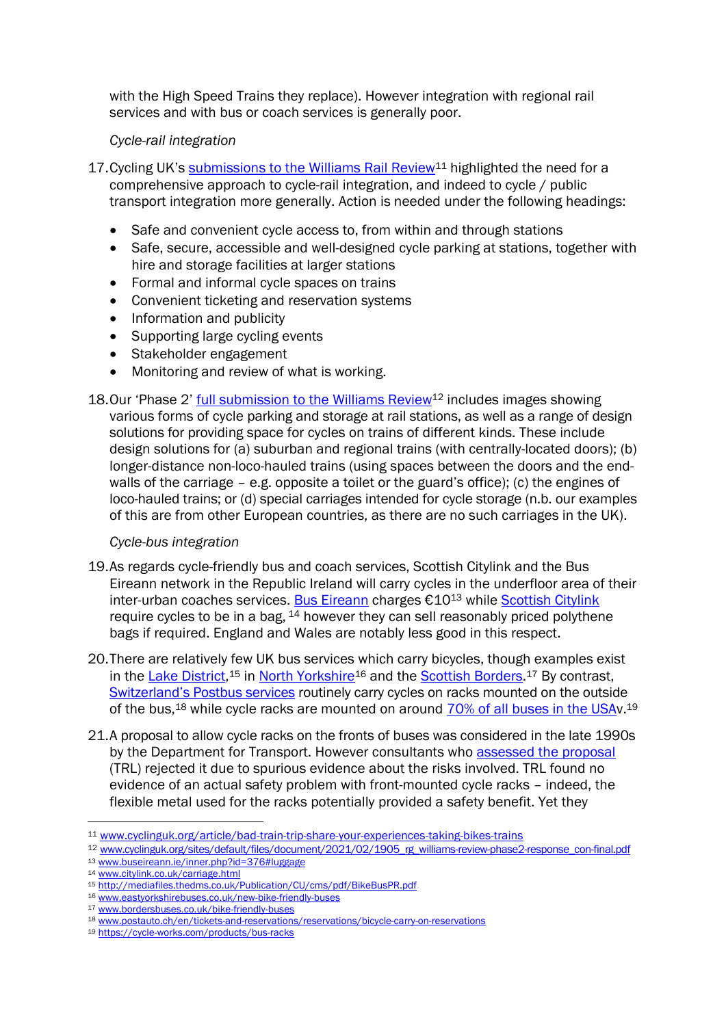with the High Speed Trains they replace). However integration with regional rail services and with bus or coach services is generally poor.

## *Cycle-rail integration*

- 17. Cycling UK's submissions [to the Williams Rail Review](http://www.cyclinguk.org/article/bad-train-trip-share-your-experiences-taking-bikes-trains)<sup>11</sup> highlighted the need for a comprehensive approach to cycle-rail integration, and indeed to cycle / public transport integration more generally. Action is needed under the following headings:
	- Safe and convenient cycle access to, from within and through stations
	- Safe, secure, accessible and well-designed cycle parking at stations, together with hire and storage facilities at larger stations
	- Formal and informal cycle spaces on trains
	- Convenient ticketing and reservation systems
	- Information and publicity
	- Supporting large cycling events
	- Stakeholder engagement
	- Monitoring and review of what is working.
- 18.Our 'Phase 2' [full submission to the Williams Review](http://www.cyclinguk.org/sites/default/files/document/2021/02/1905_rg_williams-review-phase2-response_con-final.pdf)<sup>12</sup> includes images showing various forms of cycle parking and storage at rail stations, as well as a range of design solutions for providing space for cycles on trains of different kinds. These include design solutions for (a) suburban and regional trains (with centrally-located doors); (b) longer-distance non-loco-hauled trains (using spaces between the doors and the endwalls of the carriage – e.g. opposite a toilet or the guard's office); (c) the engines of loco-hauled trains; or (d) special carriages intended for cycle storage (n.b. our examples of this are from other European countries, as there are no such carriages in the UK).

## *Cycle-bus integration*

- 19.As regards cycle-friendly bus and coach services, Scottish Citylink and the Bus Eireann network in the Republic Ireland will carry cycles in the underfloor area of their inter-urban coaches services. [Bus Eireann](http://www.buseireann.ie/inner.php?id=376#luggage) charges €10<sup>13</sup> while [Scottish Citylink](http://www.citylink.co.uk/carriage.html) require cycles to be in a bag, <sup>14</sup> however they can sell reasonably priced polythene bags if required. England and Wales are notably less good in this respect.
- 20.There are relatively few UK bus services which carry bicycles, though examples exist in the [Lake District,](http://mediafiles.thedms.co.uk/Publication/CU/cms/pdf/BikeBusPR.pdf)<sup>15</sup> in [North Yorkshire](http://www.eastyorkshirebuses.co.uk/new-bike-friendly-buses)<sup>16</sup> and the [Scottish Borders.](http://www.bordersbuses.co.uk/bike-friendly-buses)<sup>17</sup> By contrast, Switzerland'[s Postbus services](http://www.postauto.ch/en/tickets-and-reservations/reservations/bicycle-carry-on-reservations) routinely carry cycles on racks mounted on the outside of the bus,<sup>18</sup> while cycle racks are mounted on around **70% of all buses in the USA**v.<sup>19</sup>
- 21.A proposal to allow cycle racks on the fronts of buses was considered in the late 1990s by the Department for Transport. However consultants who [assessed the proposal](https://trl.co.uk/uploads/trl/documents/TRL592.pdf) (TRL) rejected it due to spurious evidence about the risks involved. TRL found no evidence of an actual safety problem with front-mounted cycle racks – indeed, the flexible metal used for the racks potentially provided a safety benefit. Yet they

<sup>11</sup> [www.cyclinguk.org/article/bad-train-trip-share-your-experiences-taking-bikes-trains](http://www.cyclinguk.org/article/bad-train-trip-share-your-experiences-taking-bikes-trains)

<sup>12</sup> [www.cyclinguk.org/sites/default/files/document/2021/02/1905\\_rg\\_williams-review-phase2-response\\_con-final.pdf](http://www.cyclinguk.org/sites/default/files/document/2021/02/1905_rg_williams-review-phase2-response_con-final.pdf)

<sup>13</sup> [www.buseireann.ie/inner.php?id=376#luggage](http://www.buseireann.ie/inner.php?id=376#luggage)

<sup>14</sup> [www.citylink.co.uk/carriage.html](http://www.citylink.co.uk/carriage.html)

<sup>15</sup> <http://mediafiles.thedms.co.uk/Publication/CU/cms/pdf/BikeBusPR.pdf>

<sup>16</sup> [www.eastyorkshirebuses.co.uk/new-bike-friendly-buses](http://www.eastyorkshirebuses.co.uk/new-bike-friendly-buses)

<sup>17</sup> [www.bordersbuses.co.uk/bike-friendly-buses](http://www.bordersbuses.co.uk/bike-friendly-buses)

<sup>18</sup> [www.postauto.ch/en/tickets-and-reservations/reservations/bicycle-carry-on-reservations](http://www.postauto.ch/en/tickets-and-reservations/reservations/bicycle-carry-on-reservations)

<sup>19</sup> [https://cycle-works.com/products/bus-racks](https://cycle-works.com/products/bus-racks/)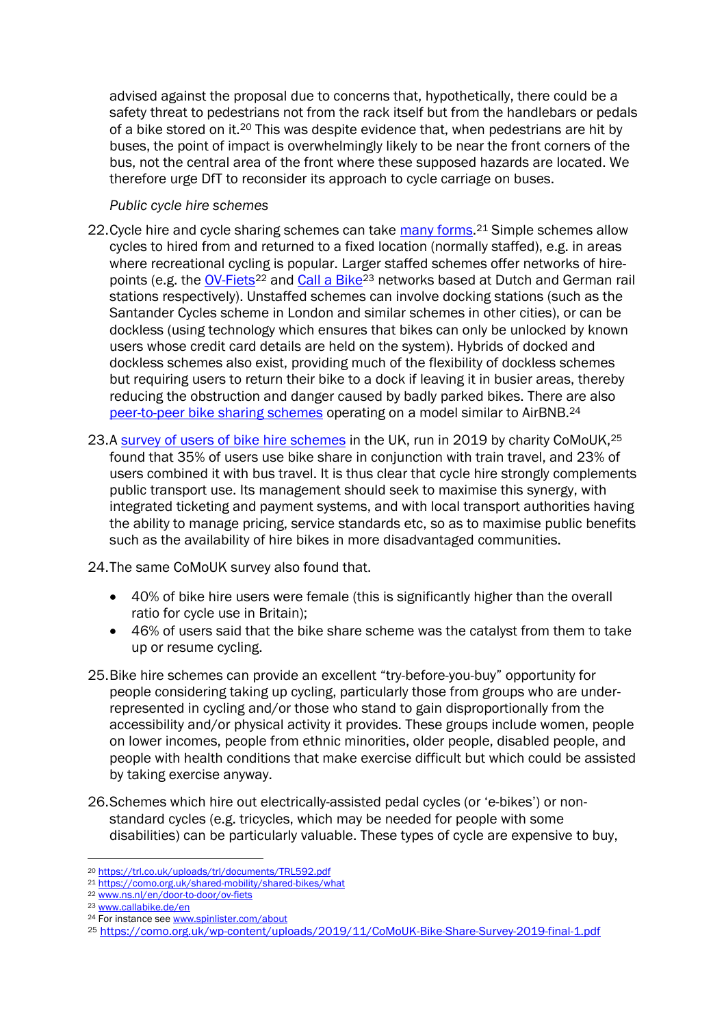advised against the proposal due to concerns that, hypothetically, there could be a safety threat to pedestrians not from the rack itself but from the handlebars or pedals of a bike stored on it.<sup>20</sup> This was despite evidence that, when pedestrians are hit by buses, the point of impact is overwhelmingly likely to be near the front corners of the bus, not the central area of the front where these supposed hazards are located. We therefore urge DfT to reconsider its approach to cycle carriage on buses.

#### *Public cycle hire schemes*

- 22. Cycle hire and cycle sharing schemes can take [many forms.](https://como.org.uk/shared-mobility/shared-bikes/what)<sup>21</sup> Simple schemes allow cycles to hired from and returned to a fixed location (normally staffed), e.g. in areas where recreational cycling is popular. Larger staffed schemes offer networks of hire-points (e.g. the [OV-Fiets](http://www.ns.nl/en/door-to-door/ov-fiets)<sup>22</sup> and [Call a Bike](http://www.callabike.de/en)<sup>23</sup> networks based at Dutch and German rail stations respectively). Unstaffed schemes can involve docking stations (such as the Santander Cycles scheme in London and similar schemes in other cities), or can be dockless (using technology which ensures that bikes can only be unlocked by known users whose credit card details are held on the system). Hybrids of docked and dockless schemes also exist, providing much of the flexibility of dockless schemes but requiring users to return their bike to a dock if leaving it in busier areas, thereby reducing the obstruction and danger caused by badly parked bikes. There are also [peer-to-peer bike sharing schemes](http://www.spinlister.com/about) operating on a model similar to AirBNB.<sup>24</sup>
- <span id="page-8-0"></span>23.A [survey of users of bike hire schemes](https://como.org.uk/wp-content/uploads/2019/11/CoMoUK-Bike-Share-Survey-2019-final-1.pdf) in the UK, run in 2019 by charity CoMoUK.<sup>25</sup> found that 35% of users use bike share in conjunction with train travel, and 23% of users combined it with bus travel. It is thus clear that cycle hire strongly complements public transport use. Its management should seek to maximise this synergy, with integrated ticketing and payment systems, and with local transport authorities having the ability to manage pricing, service standards etc, so as to maximise public benefits such as the availability of hire bikes in more disadvantaged communities.

24.The same CoMoUK survey also found that.

- 40% of bike hire users were female (this is significantly higher than the overall ratio for cycle use in Britain);
- 46% of users said that the bike share scheme was the catalyst from them to take up or resume cycling.
- 25.Bike hire schemes can provide an excellent "try-before-you-buy" opportunity for people considering taking up cycling, particularly those from groups who are underrepresented in cycling and/or those who stand to gain disproportionally from the accessibility and/or physical activity it provides. These groups include women, people on lower incomes, people from ethnic minorities, older people, disabled people, and people with health conditions that make exercise difficult but which could be assisted by taking exercise anyway.
- <span id="page-8-1"></span>26.Schemes which hire out electrically-assisted pedal cycles (or 'e-bikes') or nonstandard cycles (e.g. tricycles, which may be needed for people with some disabilities) can be particularly valuable. These types of cycle are expensive to buy,

<sup>20</sup> <https://trl.co.uk/uploads/trl/documents/TRL592.pdf>

<sup>21</sup> [https://como.org.uk/shared-mobility/shared-bikes/what](https://como.org.uk/shared-mobility/shared-bikes/what/)

<sup>22</sup> [www.ns.nl/en/door-to-door/ov-fiets](https://www.ns.nl/en/door-to-door/ov-fiets)

<sup>23</sup> [www.callabike.de/en](http://www.callabike.de/en)

<sup>&</sup>lt;sup>24</sup> For instance see [www.spinlister.com/about](http://www.spinlister.com/about)

<sup>25</sup> <https://como.org.uk/wp-content/uploads/2019/11/CoMoUK-Bike-Share-Survey-2019-final-1.pdf>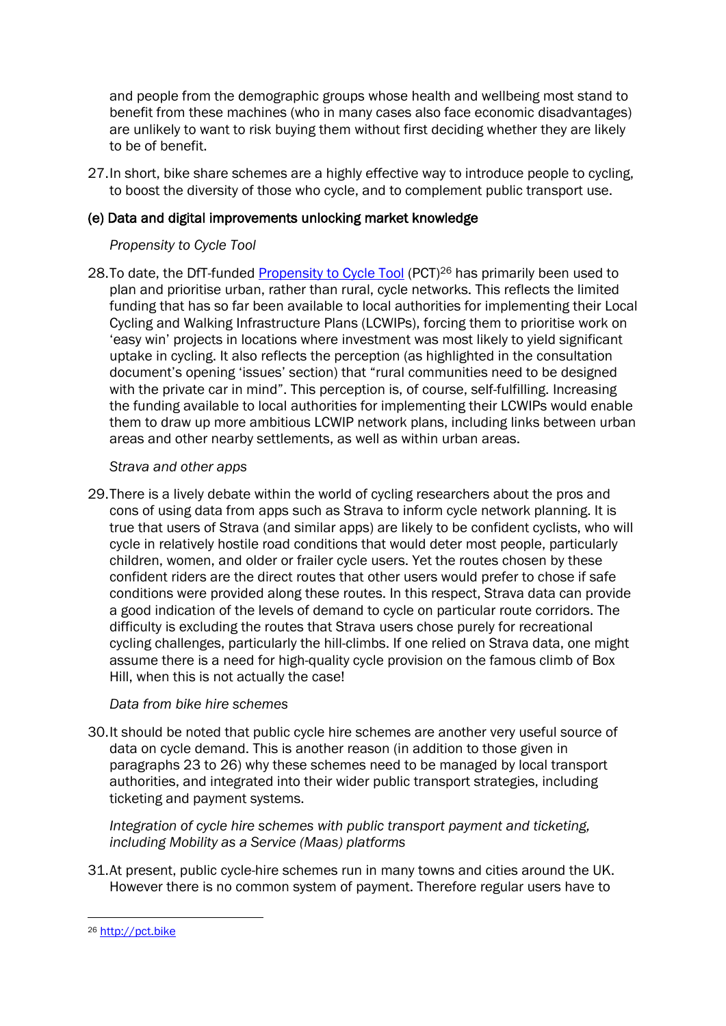and people from the demographic groups whose health and wellbeing most stand to benefit from these machines (who in many cases also face economic disadvantages) are unlikely to want to risk buying them without first deciding whether they are likely to be of benefit.

27.In short, bike share schemes are a highly effective way to introduce people to cycling, to boost the diversity of those who cycle, and to complement public transport use.

#### (e) Data and digital improvements unlocking market knowledge

#### *Propensity to Cycle Tool*

28. To date, the DfT-funded [Propensity to Cycle Tool](http://pct.bike/) (PCT)<sup>26</sup> has primarily been used to plan and prioritise urban, rather than rural, cycle networks. This reflects the limited funding that has so far been available to local authorities for implementing their Local Cycling and Walking Infrastructure Plans (LCWIPs), forcing them to prioritise work on 'easy win' projects in locations where investment was most likely to yield significant uptake in cycling. It also reflects the perception (as highlighted in the consultation document's opening 'issues' section) that "rural communities need to be designed with the private car in mind". This perception is, of course, self-fulfilling. Increasing the funding available to local authorities for implementing their LCWIPs would enable them to draw up more ambitious LCWIP network plans, including links between urban areas and other nearby settlements, as well as within urban areas.

#### *Strava and other apps*

29.There is a lively debate within the world of cycling researchers about the pros and cons of using data from apps such as Strava to inform cycle network planning. It is true that users of Strava (and similar apps) are likely to be confident cyclists, who will cycle in relatively hostile road conditions that would deter most people, particularly children, women, and older or frailer cycle users. Yet the routes chosen by these confident riders are the direct routes that other users would prefer to chose if safe conditions were provided along these routes. In this respect, Strava data can provide a good indication of the levels of demand to cycle on particular route corridors. The difficulty is excluding the routes that Strava users chose purely for recreational cycling challenges, particularly the hill-climbs. If one relied on Strava data, one might assume there is a need for high-quality cycle provision on the famous climb of Box Hill, when this is not actually the case!

#### *Data from bike hire schemes*

30.It should be noted that public cycle hire schemes are another very useful source of data on cycle demand. This is another reason (in addition to those given in paragraphs [23](#page-8-0) to [26\)](#page-8-1) why these schemes need to be managed by local transport authorities, and integrated into their wider public transport strategies, including ticketing and payment systems.

## *Integration of cycle hire schemes with public transport payment and ticketing, including Mobility as a Service (Maas) platforms*

31.At present, public cycle-hire schemes run in many towns and cities around the UK. However there is no common system of payment. Therefore regular users have to

<sup>26</sup> [http://pct.bike](http://pct.bike/)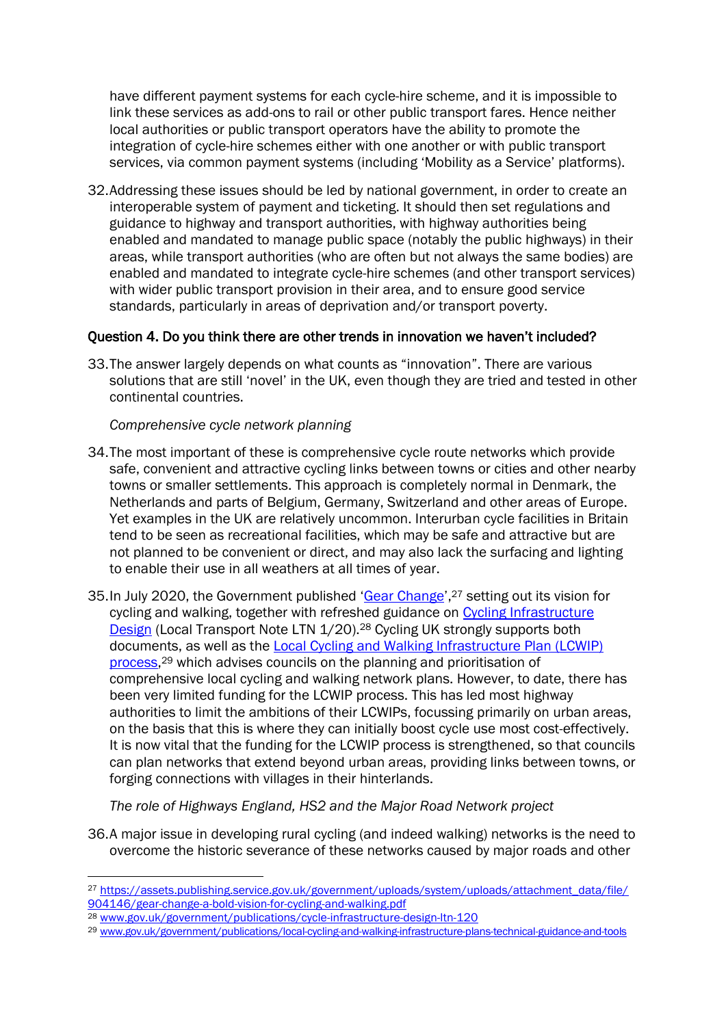have different payment systems for each cycle-hire scheme, and it is impossible to link these services as add-ons to rail or other public transport fares. Hence neither local authorities or public transport operators have the ability to promote the integration of cycle-hire schemes either with one another or with public transport services, via common payment systems (including 'Mobility as a Service' platforms).

32.Addressing these issues should be led by national government, in order to create an interoperable system of payment and ticketing. It should then set regulations and guidance to highway and transport authorities, with highway authorities being enabled and mandated to manage public space (notably the public highways) in their areas, while transport authorities (who are often but not always the same bodies) are enabled and mandated to integrate cycle-hire schemes (and other transport services) with wider public transport provision in their area, and to ensure good service standards, particularly in areas of deprivation and/or transport poverty.

## Question 4. Do you think there are other trends in innovation we haven't included?

33.The answer largely depends on what counts as "innovation". There are various solutions that are still 'novel' in the UK, even though they are tried and tested in other continental countries.

*Comprehensive cycle network planning*

- 34.The most important of these is comprehensive cycle route networks which provide safe, convenient and attractive cycling links between towns or cities and other nearby towns or smaller settlements. This approach is completely normal in Denmark, the Netherlands and parts of Belgium, Germany, Switzerland and other areas of Europe. Yet examples in the UK are relatively uncommon. Interurban cycle facilities in Britain tend to be seen as recreational facilities, which may be safe and attractive but are not planned to be convenient or direct, and may also lack the surfacing and lighting to enable their use in all weathers at all times of year.
- 35. In July 2020, the Government published '[Gear Change](https://assets.publishing.service.gov.uk/government/uploads/system/uploads/attachment_data/file/904146/gear-change-a-bold-vision-for-cycling-and-walking.pdf)', <sup>27</sup> setting out its vision for cycling and walking, together with refreshed guidance on [Cycling Infrastructure](http://www.gov.uk/government/publications/cycle-infrastructure-design-ltn-120)  [Design](http://www.gov.uk/government/publications/cycle-infrastructure-design-ltn-120) (Local Transport Note LTN 1/20).<sup>28</sup> Cycling UK strongly supports both documents, as well as the [Local Cycling and Walking Infrastructure Plan \(LCWIP\)](http://www.gov.uk/government/publications/local-cycling-and-walking-infrastructure-plans-technical-guidance-and-tools)  [process,](http://www.gov.uk/government/publications/local-cycling-and-walking-infrastructure-plans-technical-guidance-and-tools)<sup>29</sup> which advises councils on the planning and prioritisation of comprehensive local cycling and walking network plans. However, to date, there has been very limited funding for the LCWIP process. This has led most highway authorities to limit the ambitions of their LCWIPs, focussing primarily on urban areas, on the basis that this is where they can initially boost cycle use most cost-effectively. It is now vital that the funding for the LCWIP process is strengthened, so that councils can plan networks that extend beyond urban areas, providing links between towns, or forging connections with villages in their hinterlands.

*The role of Highways England, HS2 and the Major Road Network project*

36.A major issue in developing rural cycling (and indeed walking) networks is the need to overcome the historic severance of these networks caused by major roads and other

<sup>28</sup> [www.gov.uk/government/publications/cycle-infrastructure-design-ltn-120](http://www.gov.uk/government/publications/cycle-infrastructure-design-ltn-120)

<sup>27</sup> https://assets.publishing.service.gov.uk/government/uploads/system/uploads/attachment\_data/file/ [904146/gear-change-a-bold-vision-for-cycling-and-walking.pdf](https://assets.publishing.service.gov.uk/government/uploads/system/uploads/attachment_data/file/904146/gear-change-a-bold-vision-for-cycling-and-walking.pdf)

<sup>29</sup> [www.gov.uk/government/publications/local-cycling-and-walking-infrastructure-plans-technical-guidance-and-tools](http://www.gov.uk/government/publications/local-cycling-and-walking-infrastructure-plans-technical-guidance-and-tools)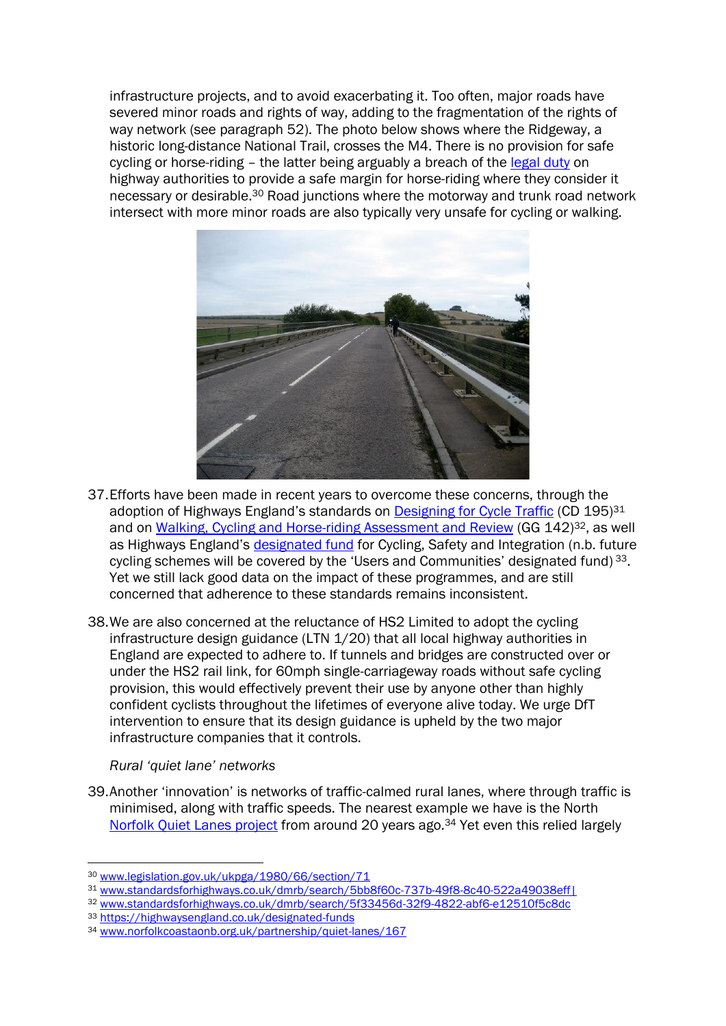infrastructure projects, and to avoid exacerbating it. Too often, major roads have severed minor roads and rights of way, adding to the fragmentation of the rights of way network (see paragraph [52\)](#page-15-0). The photo below shows where the Ridgeway, a historic long-distance National Trail, crosses the M4. There is no provision for safe cycling or horse-riding – the latter being arguably a breach of the [legal duty](http://www.legislation.gov.uk/ukpga/1980/66/section/71) on highway authorities to provide a safe margin for horse-riding where they consider it necessary or desirable.<sup>30</sup> Road junctions where the motorway and trunk road network intersect with more minor roads are also typically very unsafe for cycling or walking.



- 37.Efforts have been made in recent years to overcome these concerns, through the adoption of Highways England's standards on [Designing for Cycle Traffic](http://www.standardsforhighways.co.uk/dmrb/search/5bb8f60c-737b-49f8-8c40-522a49038eff|) (CD 195)<sup>31</sup> and on [Walking, Cycling and Horse-riding Assessment and Review](http://www.standardsforhighways.co.uk/dmrb/search/5f33456d-32f9-4822-abf6-e12510f5c8dc) (GG 142)<sup>32</sup>, as well as Highways England's [designated fund](https://highwaysengland.co.uk/designated-funds) for Cycling, Safety and Integration (n.b. future cycling schemes will be covered by the 'Users and Communities' designated fund) <sup>33</sup>. Yet we still lack good data on the impact of these programmes, and are still concerned that adherence to these standards remains inconsistent.
- 38.We are also concerned at the reluctance of HS2 Limited to adopt the cycling infrastructure design guidance (LTN 1/20) that all local highway authorities in England are expected to adhere to. If tunnels and bridges are constructed over or under the HS2 rail link, for 60mph single-carriageway roads without safe cycling provision, this would effectively prevent their use by anyone other than highly confident cyclists throughout the lifetimes of everyone alive today. We urge DfT intervention to ensure that its design guidance is upheld by the two major infrastructure companies that it controls.

*Rural 'quiet lane' networks*

39.Another 'innovation' is networks of traffic-calmed rural lanes, where through traffic is minimised, along with traffic speeds. The nearest example we have is the North [Norfolk Quiet Lanes project](http://www.norfolkcoastaonb.org.uk/partnership/quiet-lanes/167) from around 20 years ago.<sup>34</sup> Yet even this relied largely

<sup>32</sup> [www.standardsforhighways.co.uk/dmrb/search/5f33456d-32f9-4822-abf6-e12510f5c8dc](http://www.standardsforhighways.co.uk/dmrb/search/5f33456d-32f9-4822-abf6-e12510f5c8dc)

<sup>30</sup> [www.legislation.gov.uk/ukpga/1980/66/section/71](http://www.legislation.gov.uk/ukpga/1980/66/section/71)

<sup>31</sup> [www.standardsforhighways.co.uk/dmrb/search/5bb8f60c-737b-49f8-8c40-522a49038eff|](http://www.standardsforhighways.co.uk/dmrb/search/5bb8f60c-737b-49f8-8c40-522a49038eff)

<sup>33</sup> [https://highwaysengland.co.uk/designated-funds](https://highwaysengland.co.uk/designated-funds/)

<sup>34</sup> [www.norfolkcoastaonb.org.uk/partnership/quiet-lanes/167](http://www.norfolkcoastaonb.org.uk/partnership/quiet-lanes/167)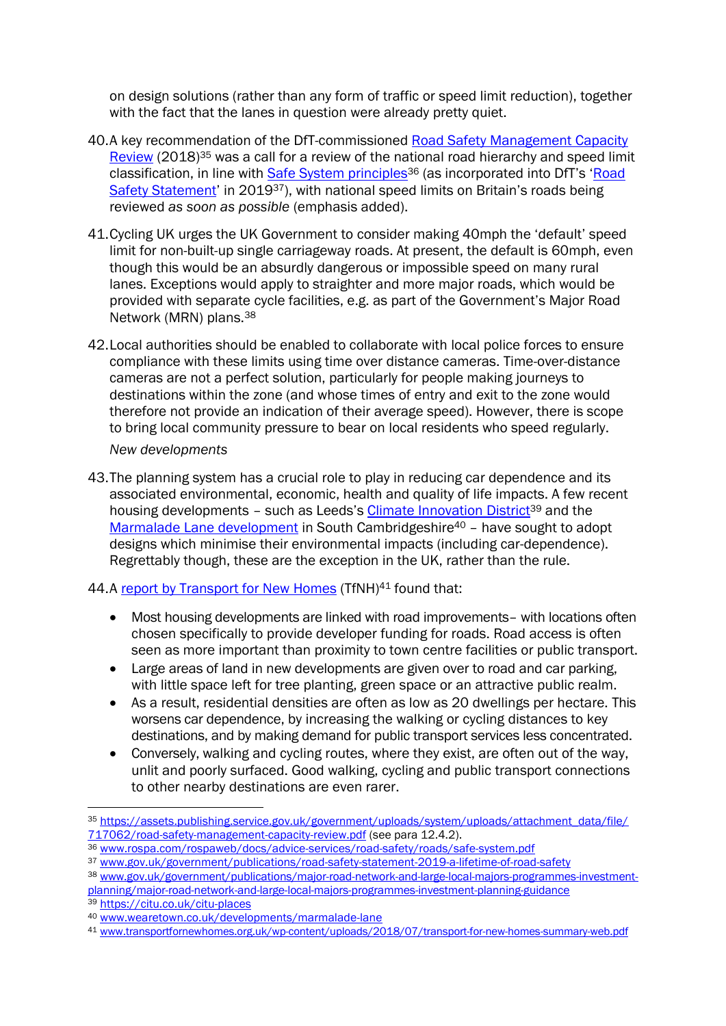on design solutions (rather than any form of traffic or speed limit reduction), together with the fact that the lanes in question were already pretty quiet.

- 40.A key recommendation of the DfT-commissioned [Road Safety Management Capacity](https://assets.publishing.service.gov.uk/government/uploads/system/uploads/attachment_data/file/717062/road-safety-management-capacity-review.pdf)  [Review](https://assets.publishing.service.gov.uk/government/uploads/system/uploads/attachment_data/file/717062/road-safety-management-capacity-review.pdf) (2018)<sup>35</sup> was a call for a review of the national road hierarchy and speed limit classification, in line with [Safe System principles](http://www.rospa.com/rospaweb/docs/advice-services/road-safety/roads/safe-system.pdf)<sup>36</sup> (as incorporated into DfT's 'Road [Safety Statement](https://www.gov.uk/government/publications/road-safety-statement-2019-a-lifetime-of-road-safety)' in 2019<sup>37</sup>), with national speed limits on Britain's roads being reviewed *as soon as possible* (emphasis added).
- 41.Cycling UK urges the UK Government to consider making 40mph the 'default' speed limit for non-built-up single carriageway roads. At present, the default is 60mph, even though this would be an absurdly dangerous or impossible speed on many rural lanes. Exceptions would apply to straighter and more major roads, which would be provided with separate cycle facilities, e.g. as part of the Government's Major Road Network (MRN) plans.<sup>38</sup>
- 42.Local authorities should be enabled to collaborate with local police forces to ensure compliance with these limits using time over distance cameras. Time-over-distance cameras are not a perfect solution, particularly for people making journeys to destinations within the zone (and whose times of entry and exit to the zone would therefore not provide an indication of their average speed). However, there is scope to bring local community pressure to bear on local residents who speed regularly.

*New developments*

43.The planning system has a crucial role to play in reducing car dependence and its associated environmental, economic, health and quality of life impacts. A few recent housing developments – such as Leeds's [Climate Innovation District](https://citu.co.uk/citu-places)<sup>39</sup> and the [Marmalade Lane development](http://www.wearetown.co.uk/developments/marmalade-lane/) in South Cambridgeshire<sup>40</sup> - have sought to adopt designs which minimise their environmental impacts (including car-dependence). Regrettably though, these are the exception in the UK, rather than the rule.

## 44.A [report by Transport for New](http://www.gov.uk/government/consultations/planning-for-the-future) Homes (TfNH)<sup>41</sup> found that:

- Most housing developments are linked with road improvements- with locations often chosen specifically to provide developer funding for roads. Road access is often seen as more important than proximity to town centre facilities or public transport.
- Large areas of land in new developments are given over to road and car parking, with little space left for tree planting, green space or an attractive public realm.
- As a result, residential densities are often as low as 20 dwellings per hectare. This worsens car dependence, by increasing the walking or cycling distances to key destinations, and by making demand for public transport services less concentrated.
- Conversely, walking and cycling routes, where they exist, are often out of the way, unlit and poorly surfaced. Good walking, cycling and public transport connections to other nearby destinations are even rarer.

<sup>39</sup> <https://citu.co.uk/citu-places>

<sup>35</sup> [https://assets.publishing.service.gov.uk/government/uploads/system/uploads/attachment\\_data/file/](https://assets.publishing.service.gov.uk/government/uploads/system/uploads/attachment_data/file/717062/road-safety-management-capacity-review.pdf)  [717062/road-safety-management-capacity-review.pdf](https://assets.publishing.service.gov.uk/government/uploads/system/uploads/attachment_data/file/717062/road-safety-management-capacity-review.pdf) (see para 12.4.2).

<sup>36</sup> [www.rospa.com/rospaweb/docs/advice-services/road-safety/roads/safe-system.pdf](http://www.rospa.com/rospaweb/docs/advice-services/road-safety/roads/safe-system.pdf)

<sup>37</sup> [www.gov.uk/government/publications/road-safety-statement-2019-a-lifetime-of-road-safety](http://www.gov.uk/government/publications/road-safety-statement-2019-a-lifetime-of-road-safety)

<sup>38</sup> [www.gov.uk/government/publications/major-road-network-and-large-local-majors-programmes-investment](http://www.gov.uk/government/publications/major-road-network-and-large-local-majors-programmes-investment-planning/major-road-network-and-large-local-majors-programmes-investment-planning-guidance)[planning/major-road-network-and-large-local-majors-programmes-investment-planning-guidance](http://www.gov.uk/government/publications/major-road-network-and-large-local-majors-programmes-investment-planning/major-road-network-and-large-local-majors-programmes-investment-planning-guidance)

<sup>40</sup> [www.wearetown.co.uk/developments/marmalade-lane](http://www.wearetown.co.uk/developments/marmalade-lane/)

<sup>41</sup> [www.transportfornewhomes.org.uk/wp-content/uploads/2018/07/transport-for-new-homes-summary-web.pdf](http://www.transportfornewhomes.org.uk/wp-content/uploads/2018/07/transport-for-new-homes-summary-web.pdf)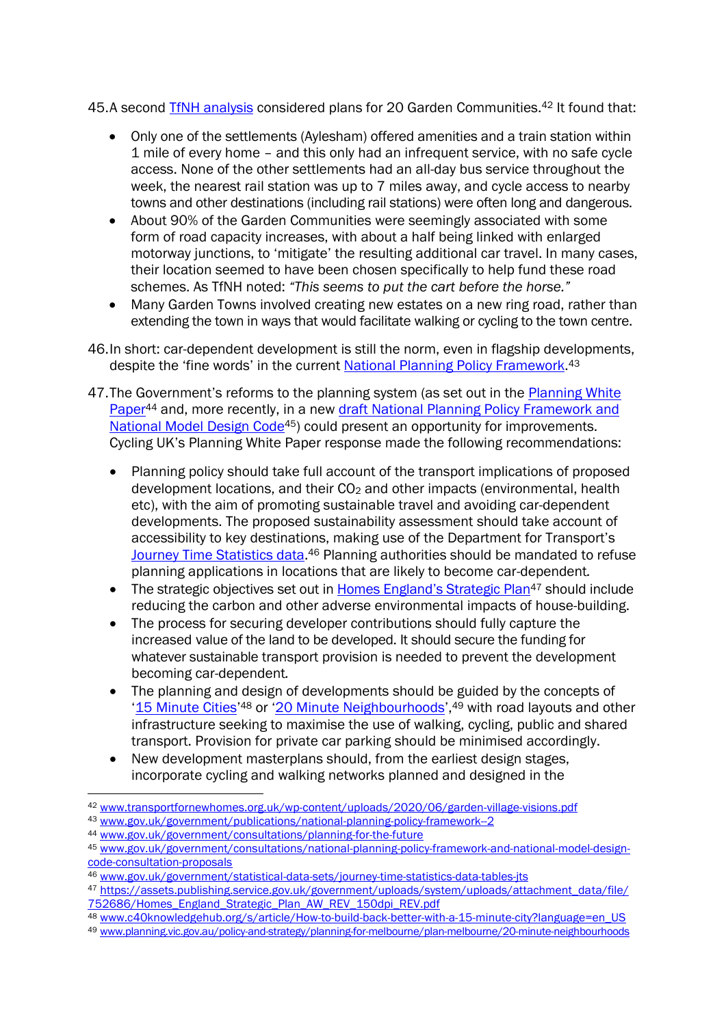45.A second [TfNH analysis](http://www.transportfornewhomes.org.uk/wp-content/uploads/2020/06/garden-village-visions.pdf) considered plans for 20 Garden Communities.<sup>42</sup> It found that:

- Only one of the settlements (Aylesham) offered amenities and a train station within 1 mile of every home – and this only had an infrequent service, with no safe cycle access. None of the other settlements had an all-day bus service throughout the week, the nearest rail station was up to 7 miles away, and cycle access to nearby towns and other destinations (including rail stations) were often long and dangerous.
- About 90% of the Garden Communities were seemingly associated with some form of road capacity increases, with about a half being linked with enlarged motorway junctions, to 'mitigate' the resulting additional car travel. In many cases, their location seemed to have been chosen specifically to help fund these road schemes. As TfNH noted: *"This seems to put the cart before the horse."*
- Many Garden Towns involved creating new estates on a new ring road, rather than extending the town in ways that would facilitate walking or cycling to the town centre.
- 46.In short: car-dependent development is still the norm, even in flagship developments, despite the 'fine words' in the current [National Planning](http://www.gov.uk/government/publications/national-planning-policy-framework--2) Policy Framework.<sup>43</sup>
- 47.The Government's reforms to the planning system (as set out in the [Planning White](http://www.gov.uk/government/consultations/planning-for-the-future)  [Paper](http://www.gov.uk/government/consultations/planning-for-the-future)<sup>44</sup> and, more recently, in a new [draft National Planning Policy Framework and](http://www.gov.uk/government/consultations/national-planning-policy-framework-and-national-model-design-code-consultation-proposals)  [National Model Design Code](http://www.gov.uk/government/consultations/national-planning-policy-framework-and-national-model-design-code-consultation-proposals)<sup>45</sup>) could present an opportunity for improvements. Cycling UK's Planning White Paper response made the following recommendations:
	- Planning policy should take full account of the transport implications of proposed development locations, and their  $CO<sub>2</sub>$  and other impacts (environmental, health etc), with the aim of promoting sustainable travel and avoiding car-dependent developments. The proposed sustainability assessment should take account of accessibility to key destinations, making use of the Department for Transport's [Journey Time Statistics data.](http://www.gov.uk/government/statistical-data-sets/journey-time-statistics-data-tables-jts)<sup>46</sup> Planning authorities should be mandated to refuse planning applications in locations that are likely to become car-dependent*.*
	- The strategic objectives set out in [Homes England's Strategic Plan](https://assets.publishing.service.gov.uk/government/uploads/system/uploads/attachment_data/file/752686/Homes_England_Strategic_Plan_AW_REV_150dpi_REV.pdf)<sup>47</sup> should include reducing the carbon and other adverse environmental impacts of house-building.
	- The process for securing developer contributions should fully capture the increased value of the land to be developed. It should secure the funding for whatever sustainable transport provision is needed to prevent the development becoming car-dependent*.*
	- The planning and design of developments should be guided by the concepts of [15 Minute Cities](http://www.c40knowledgehub.org/s/article/How-to-build-back-better-with-a-15-minute-city?language=en_US)<sup>'48</sup> or '[20 Minute Neighbourhoods](http://www.planning.vic.gov.au/policy-and-strategy/planning-for-melbourne/plan-melbourne/20-minute-neighbourhoods)', 49 with road layouts and other infrastructure seeking to maximise the use of walking, cycling, public and shared transport. Provision for private car parking should be minimised accordingly.
	- New development masterplans should, from the earliest design stages, incorporate cycling and walking networks planned and designed in the

<sup>48</sup> [www.c40knowledgehub.org/s/article/How-to-build-back-better-with-a-15-minute-city?language=en\\_US](http://www.c40knowledgehub.org/s/article/How-to-build-back-better-with-a-15-minute-city?language=en_US)

<sup>42</sup> [www.transportfornewhomes.org.uk/wp-content/uploads/2020/06/garden-village-visions.pdf](http://www.transportfornewhomes.org.uk/wp-content/uploads/2020/06/garden-village-visions.pdf)

<sup>43</sup> [www.gov.uk/government/publications/national-planning-policy-framework--2](http://www.gov.uk/government/publications/national-planning-policy-framework--2)

<sup>44</sup> [www.gov.uk/government/consultations/planning-for-the-future](http://www.gov.uk/government/consultations/planning-for-the-future)

<sup>45</sup> [www.gov.uk/government/consultations/national-planning-policy-framework-and-national-model-design](http://www.gov.uk/government/consultations/national-planning-policy-framework-and-national-model-design-code-consultation-proposals)[code-consultation-proposals](http://www.gov.uk/government/consultations/national-planning-policy-framework-and-national-model-design-code-consultation-proposals)

<sup>46</sup> [www.gov.uk/government/statistical-data-sets/journey-time-statistics-data-tables-jts](http://www.gov.uk/government/statistical-data-sets/journey-time-statistics-data-tables-jts)

<sup>47</sup> [https://assets.publishing.service.gov.uk/government/uploads/system/uploads/attachment\\_data/file/](https://assets.publishing.service.gov.uk/government/uploads/system/uploads/attachment_data/file/752686/Homes_England_Strategic_Plan_AW_REV_150dpi_REV.pdf)  [752686/Homes\\_England\\_Strategic\\_Plan\\_AW\\_REV\\_150dpi\\_REV.pdf](https://assets.publishing.service.gov.uk/government/uploads/system/uploads/attachment_data/file/752686/Homes_England_Strategic_Plan_AW_REV_150dpi_REV.pdf)

<sup>49</sup> [www.planning.vic.gov.au/policy-and-strategy/planning-for-melbourne/plan-melbourne/20-minute-neighbourhoods](http://www.planning.vic.gov.au/policy-and-strategy/planning-for-melbourne/plan-melbourne/20-minute-neighbourhoods)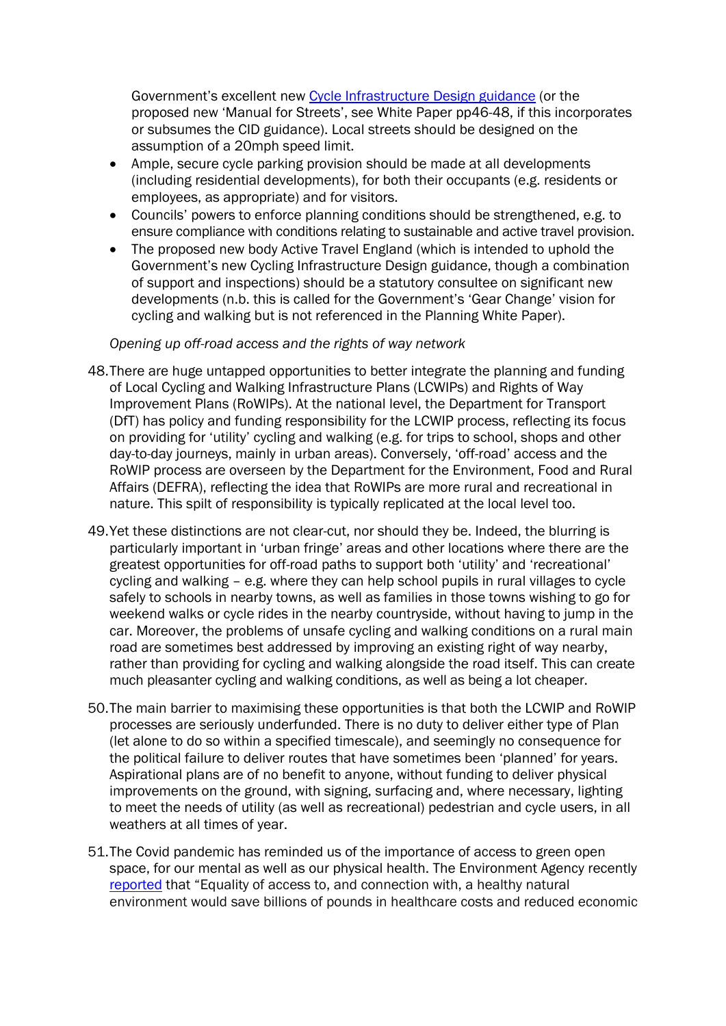Government's excellent new [Cycle Infrastructure Design guidance](http://www.gov.uk/government/publications/cycle-infrastructure-design-ltn-120) (or the proposed new 'Manual for Streets', see White Paper pp46-48, if this incorporates or subsumes the CID guidance). Local streets should be designed on the assumption of a 20mph speed limit.

- Ample, secure cycle parking provision should be made at all developments (including residential developments), for both their occupants (e.g. residents or employees, as appropriate) and for visitors.
- Councils' powers to enforce planning conditions should be strengthened, e.g. to ensure compliance with conditions relating to sustainable and active travel provision.
- The proposed new body Active Travel England (which is intended to uphold the Government's new Cycling Infrastructure Design guidance, though a combination of support and inspections) should be a statutory consultee on significant new developments (n.b. this is called for the Government's 'Gear Change' vision for cycling and walking but is not referenced in the Planning White Paper).

#### *Opening up off-road access and the rights of way network*

- 48.There are huge untapped opportunities to better integrate the planning and funding of Local Cycling and Walking Infrastructure Plans (LCWIPs) and Rights of Way Improvement Plans (RoWIPs). At the national level, the Department for Transport (DfT) has policy and funding responsibility for the LCWIP process, reflecting its focus on providing for 'utility' cycling and walking (e.g. for trips to school, shops and other day-to-day journeys, mainly in urban areas). Conversely, 'off-road' access and the RoWIP process are overseen by the Department for the Environment, Food and Rural Affairs (DEFRA), reflecting the idea that RoWIPs are more rural and recreational in nature. This spilt of responsibility is typically replicated at the local level too.
- 49.Yet these distinctions are not clear-cut, nor should they be. Indeed, the blurring is particularly important in 'urban fringe' areas and other locations where there are the greatest opportunities for off-road paths to support both 'utility' and 'recreational' cycling and walking – e.g. where they can help school pupils in rural villages to cycle safely to schools in nearby towns, as well as families in those towns wishing to go for weekend walks or cycle rides in the nearby countryside, without having to jump in the car. Moreover, the problems of unsafe cycling and walking conditions on a rural main road are sometimes best addressed by improving an existing right of way nearby, rather than providing for cycling and walking alongside the road itself. This can create much pleasanter cycling and walking conditions, as well as being a lot cheaper.
- 50.The main barrier to maximising these opportunities is that both the LCWIP and RoWIP processes are seriously underfunded. There is no duty to deliver either type of Plan (let alone to do so within a specified timescale), and seemingly no consequence for the political failure to deliver routes that have sometimes been 'planned' for years. Aspirational plans are of no benefit to anyone, without funding to deliver physical improvements on the ground, with signing, surfacing and, where necessary, lighting to meet the needs of utility (as well as recreational) pedestrian and cycle users, in all weathers at all times of year.
- 51.The Covid pandemic has reminded us of the importance of access to green open space, for our mental as well as our physical health. The Environment Agency recently [reported](http://www.gov.uk/government/publications/state-of-the-environment/state-of-the-environment-health-people-and-the-environment) that "Equality of access to, and connection with, a healthy natural environment would save billions of pounds in healthcare costs and reduced economic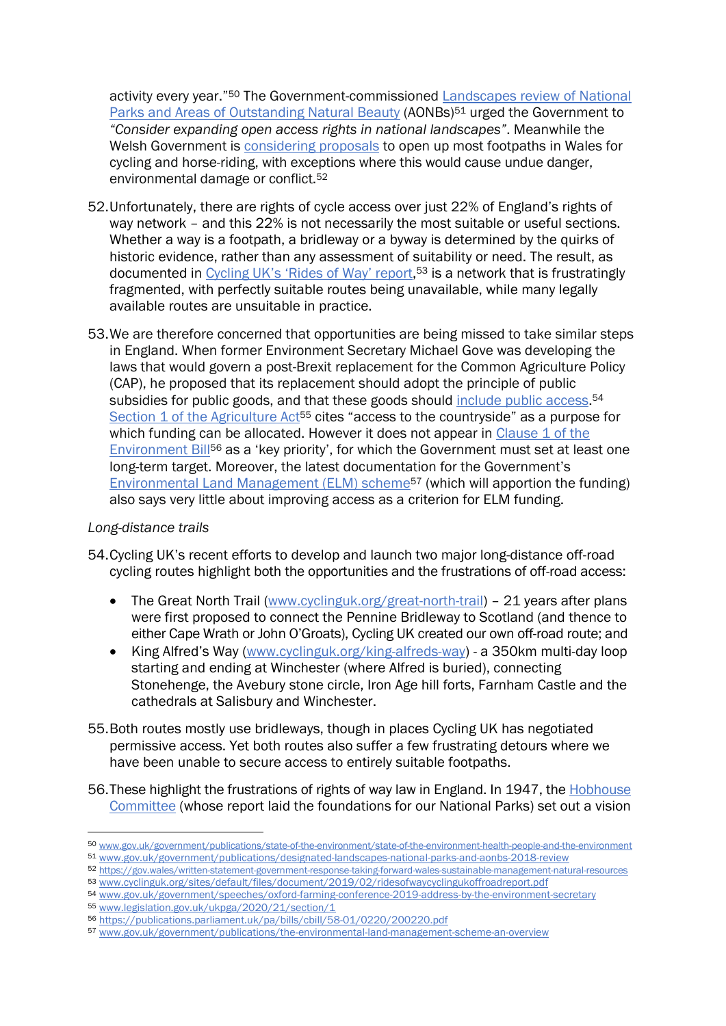activity every year."<sup>50</sup> The Government-commissioned [Landscapes review of National](http://www.gov.uk/government/publications/designated-landscapes-national-parks-and-aonbs-2018-review)  [Parks and Areas of Outstanding Natural Beauty](http://www.gov.uk/government/publications/designated-landscapes-national-parks-and-aonbs-2018-review) (AONBs)<sup>51</sup> urged the Government to *"Consider expanding open access rights in national landscapes"*. Meanwhile the Welsh Government is [considering proposals](https://gov.wales/written-statement-government-response-taking-forward-wales-sustainable-management-natural-resources) to open up most footpaths in Wales for cycling and horse-riding, with exceptions where this would cause undue danger, environmental damage or conflict.<sup>52</sup>

- <span id="page-15-0"></span>52.Unfortunately, there are rights of cycle access over just 22% of England's rights of way network – and this 22% is not necessarily the most suitable or useful sections. Whether a way is a footpath, a bridleway or a byway is determined by the quirks of historic evidence, rather than any assessment of suitability or need. The result, as documented in [Cycling UK's 'Rides of Way' report](http://www.cyclinguk.org/sites/default/files/document/2019/02/ridesofwaycyclingukoffroadreport.pdf),<sup>53</sup> is a network that is frustratingly fragmented, with perfectly suitable routes being unavailable, while many legally available routes are unsuitable in practice.
- 53.We are therefore concerned that opportunities are being missed to take similar steps in England. When former Environment Secretary Michael Gove was developing the laws that would govern a post-Brexit replacement for the Common Agriculture Policy (CAP), he proposed that its replacement should adopt the principle of public subsidies for public goods, and that these goods should [include public access.](http://www.gov.uk/government/speeches/oxford-farming-conference-2019-address-by-the-environment-secretary)<sup>54</sup> [Section 1 of the Agriculture Act](http://www.legislation.gov.uk/ukpga/2020/21/section/1)<sup>55</sup> cites "access to the countryside" as a purpose for which funding can be allocated. However it does not appear in Clause 1 of the [Environment Bill](https://publications.parliament.uk/pa/bills/cbill/58-01/0220/200220.pdf)<sup>56</sup> as a 'key priority', for which the Government must set at least one long-term target. Moreover, the latest documentation for the Government's [Environmental Land Management \(ELM\) scheme](http://www.gov.uk/government/publications/the-environmental-land-management-scheme-an-overview)<sup>57</sup> (which will apportion the funding) also says very little about improving access as a criterion for ELM funding.

#### *Long-distance trails*

- 54.Cycling UK's recent efforts to develop and launch two major long-distance off-road cycling routes highlight both the opportunities and the frustrations of off-road access:
	- The Great North Trail [\(www.cyclinguk.org/great-north-trail\)](http://www.cyclinguk.org/great-north-trail) 21 years after plans were first proposed to connect the Pennine Bridleway to Scotland (and thence to either Cape Wrath or John O'Groats), Cycling UK created our own off-road route; and
	- King Alfred's Way [\(www.cyclinguk.org/king-alfreds-way\)](http://www.cyclinguk.org/king-alfreds-way) a 350km multi-day loop starting and ending at Winchester (where Alfred is buried), connecting Stonehenge, the Avebury stone circle, Iron Age hill forts, Farnham Castle and the cathedrals at Salisbury and Winchester.
- 55.Both routes mostly use bridleways, though in places Cycling UK has negotiated permissive access. Yet both routes also suffer a few frustrating detours where we have been unable to secure access to entirely suitable footpaths.
- 56. These highlight the frustrations of rights of way law in England. In 1947, the Hobhouse [Committee](https://www.cyclinguk.org/blog/70-years-has-national-parks-act-achieved-its-purpose) (whose report laid the foundations for our National Parks) set out a vision

<sup>50</sup> www.gov.uk/government/publications/state-of-the-environment/state-of-the-environment-health-people-and-the-environment

<sup>51</sup> [www.gov.uk/government/publications/designated-landscapes-national-parks-and-aonbs-2018-review](http://www.gov.uk/government/publications/designated-landscapes-national-parks-and-aonbs-2018-review)

<sup>52</sup> <https://gov.wales/written-statement-government-response-taking-forward-wales-sustainable-management-natural-resources> <sup>53</sup> [www.cyclinguk.org/sites/default/files/document/2019/02/ridesofwaycyclingukoffroadreport.pdf](http://www.cyclinguk.org/sites/default/files/document/2019/02/ridesofwaycyclingukoffroadreport.pdf)

<sup>54</sup> [www.gov.uk/government/speeches/oxford-farming-conference-2019-address-by-the-environment-secretary](http://www.gov.uk/government/speeches/oxford-farming-conference-2019-address-by-the-environment-secretary)

<sup>55</sup> [www.legislation.gov.uk/ukpga/2020/21/section/1](http://www.legislation.gov.uk/ukpga/2020/21/section/1)

<sup>56</sup> <https://publications.parliament.uk/pa/bills/cbill/58-01/0220/200220.pdf>

<sup>57</sup> [www.gov.uk/government/publications/the-environmental-land-management-scheme-an-overview](http://www.gov.uk/government/publications/the-environmental-land-management-scheme-an-overview)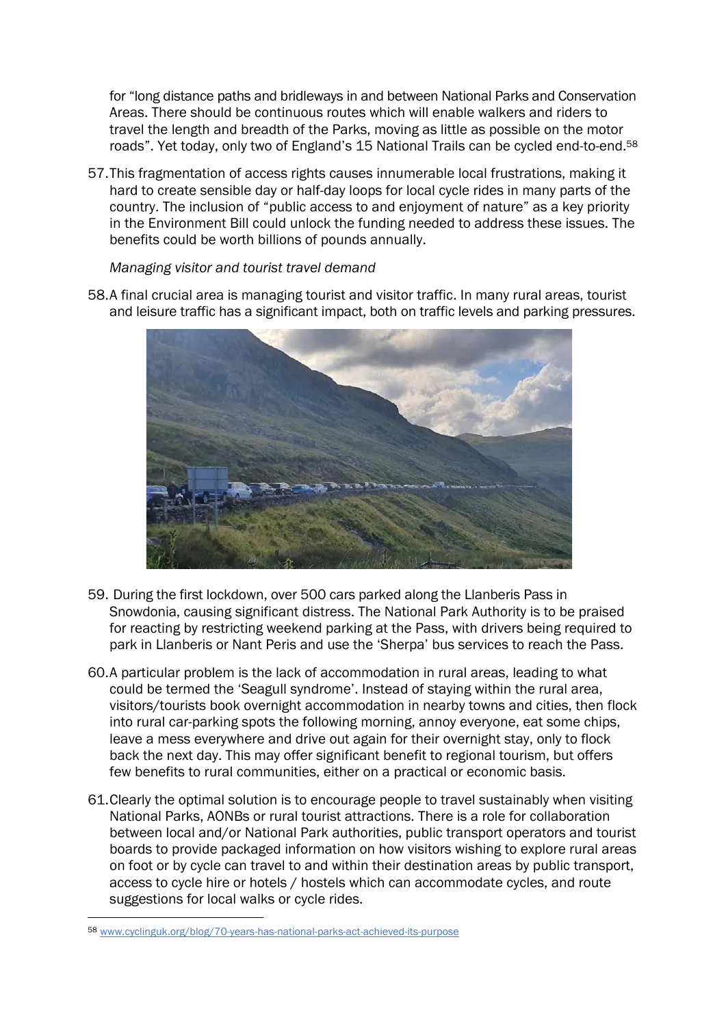for "long distance paths and bridleways in and between National Parks and Conservation Areas. There should be continuous routes which will enable walkers and riders to travel the length and breadth of the Parks, moving as little as possible on the motor roads". Yet today, only two of England's 15 National Trails can be cycled end-to-end.<sup>58</sup>

57.This fragmentation of access rights causes innumerable local frustrations, making it hard to create sensible day or half-day loops for local cycle rides in many parts of the country. The inclusion of "public access to and enjoyment of nature" as a key priority in the Environment Bill could unlock the funding needed to address these issues. The benefits could be worth billions of pounds annually.

*Managing visitor and tourist travel demand*

- 
- 58.A final crucial area is managing tourist and visitor traffic. In many rural areas, tourist and leisure traffic has a significant impact, both on traffic levels and parking pressures.

- 59. During the first lockdown, over 500 cars parked along the Llanberis Pass in Snowdonia, causing significant distress. The National Park Authority is to be praised for reacting by restricting weekend parking at the Pass, with drivers being required to park in Llanberis or Nant Peris and use the 'Sherpa' bus services to reach the Pass.
- 60.A particular problem is the lack of accommodation in rural areas, leading to what could be termed the 'Seagull syndrome'. Instead of staying within the rural area, visitors/tourists book overnight accommodation in nearby towns and cities, then flock into rural car-parking spots the following morning, annoy everyone, eat some chips, leave a mess everywhere and drive out again for their overnight stay, only to flock back the next day. This may offer significant benefit to regional tourism, but offers few benefits to rural communities, either on a practical or economic basis.
- 61.Clearly the optimal solution is to encourage people to travel sustainably when visiting National Parks, AONBs or rural tourist attractions. There is a role for collaboration between local and/or National Park authorities, public transport operators and tourist boards to provide packaged information on how visitors wishing to explore rural areas on foot or by cycle can travel to and within their destination areas by public transport, access to cycle hire or hotels / hostels which can accommodate cycles, and route suggestions for local walks or cycle rides.

<sup>58</sup> [www.cyclinguk.org/blog/70-years-has-national-parks-act-achieved-its-purpose](http://www.cyclinguk.org/blog/70-years-has-national-parks-act-achieved-its-purpose)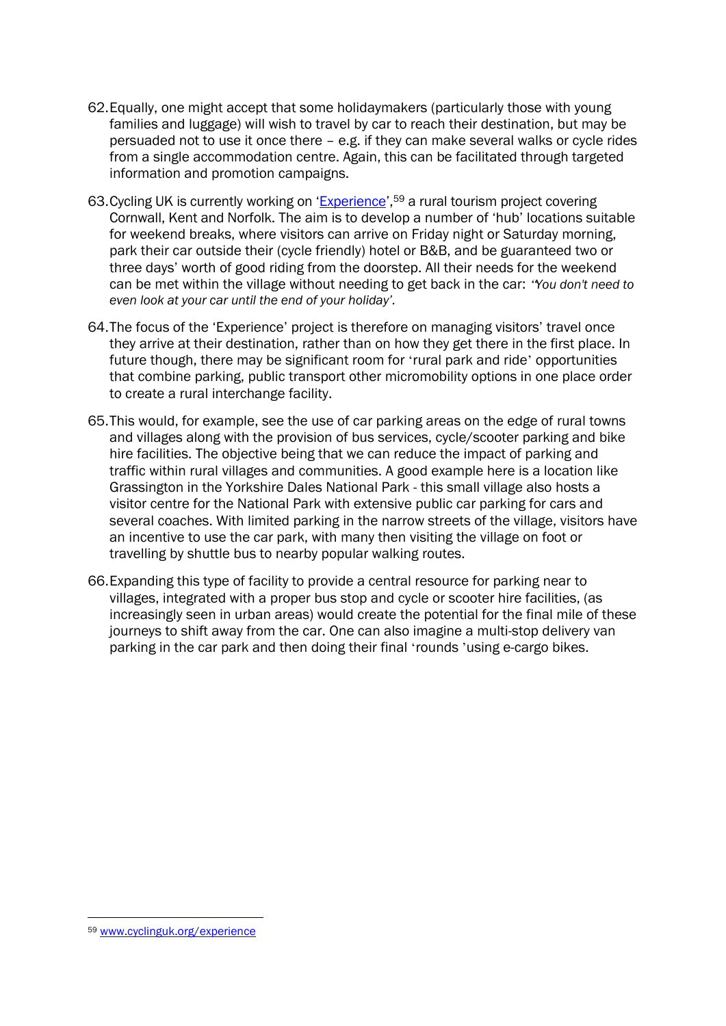- 62.Equally, one might accept that some holidaymakers (particularly those with young families and luggage) will wish to travel by car to reach their destination, but may be persuaded not to use it once there – e.g. if they can make several walks or cycle rides from a single accommodation centre. Again, this can be facilitated through targeted information and promotion campaigns.
- 63.Cycling UK is currently working on '[Experience](http://www.cyclinguk.org/experience)',<sup>59</sup> a rural tourism project covering Cornwall, Kent and Norfolk. The aim is to develop a number of 'hub' locations suitable for weekend breaks, where visitors can arrive on Friday night or Saturday morning, park their car outside their (cycle friendly) hotel or B&B, and be guaranteed two or three days' worth of good riding from the doorstep. All their needs for the weekend can be met within the village without needing to get back in the car: "*You don't need to even look at your car until the end of your holiday'.*
- 64.The focus of the 'Experience' project is therefore on managing visitors' travel once they arrive at their destination, rather than on how they get there in the first place. In future though, there may be significant room for 'rural park and ride' opportunities that combine parking, public transport other micromobility options in one place order to create a rural interchange facility.
- 65.This would, for example, see the use of car parking areas on the edge of rural towns and villages along with the provision of bus services, cycle/scooter parking and bike hire facilities. The objective being that we can reduce the impact of parking and traffic within rural villages and communities. A good example here is a location like Grassington in the Yorkshire Dales National Park - this small village also hosts a visitor centre for the National Park with extensive public car parking for cars and several coaches. With limited parking in the narrow streets of the village, visitors have an incentive to use the car park, with many then visiting the village on foot or travelling by shuttle bus to nearby popular walking routes.
- 66.Expanding this type of facility to provide a central resource for parking near to villages, integrated with a proper bus stop and cycle or scooter hire facilities, (as increasingly seen in urban areas) would create the potential for the final mile of these journeys to shift away from the car. One can also imagine a multi-stop delivery van parking in the car park and then doing their final 'rounds 'using e-cargo bikes.

<sup>59</sup> [www.cyclinguk.org/experience](http://www.cyclinguk.org/experience)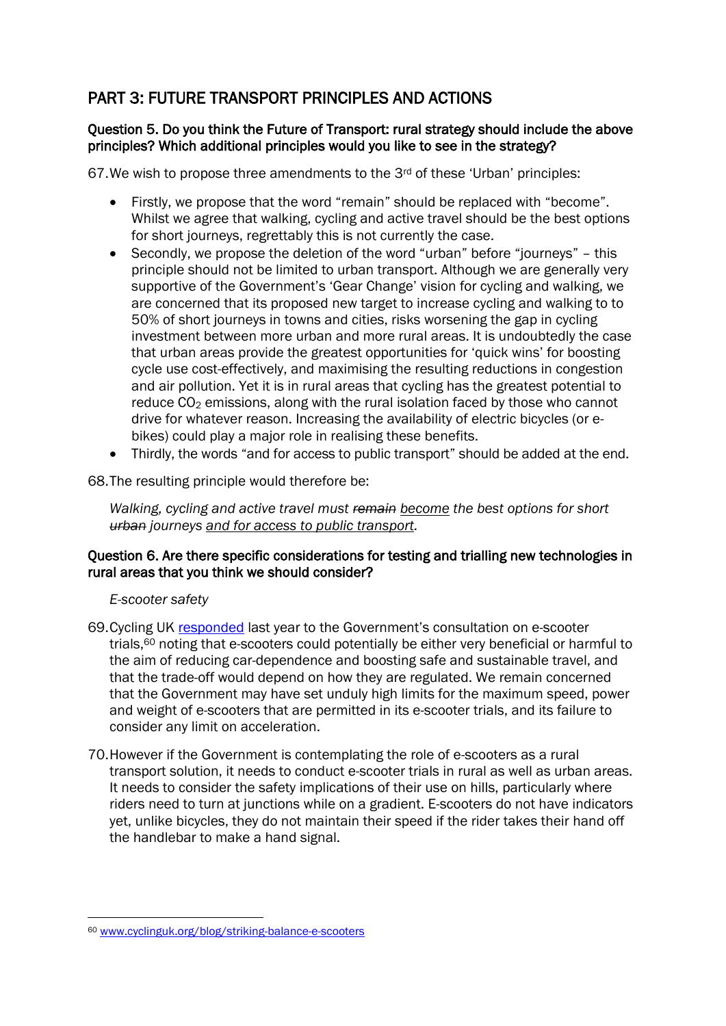# PART 3: FUTURE TRANSPORT PRINCIPLES AND ACTIONS

## Question 5. Do you think the Future of Transport: rural strategy should include the above principles? Which additional principles would you like to see in the strategy?

67.We wish to propose three amendments to the 3rd of these 'Urban' principles:

- Firstly, we propose that the word "remain" should be replaced with "become". Whilst we agree that walking, cycling and active travel should be the best options for short journeys, regrettably this is not currently the case.
- Secondly, we propose the deletion of the word "urban" before "journeys" this principle should not be limited to urban transport. Although we are generally very supportive of the Government's 'Gear Change' vision for cycling and walking, we are concerned that its proposed new target to increase cycling and walking to to 50% of short journeys in towns and cities, risks worsening the gap in cycling investment between more urban and more rural areas. It is undoubtedly the case that urban areas provide the greatest opportunities for 'quick wins' for boosting cycle use cost-effectively, and maximising the resulting reductions in congestion and air pollution. Yet it is in rural areas that cycling has the greatest potential to reduce CO<sup>2</sup> emissions, along with the rural isolation faced by those who cannot drive for whatever reason. Increasing the availability of electric bicycles (or ebikes) could play a major role in realising these benefits.
- Thirdly, the words "and for access to public transport" should be added at the end.

68.The resulting principle would therefore be:

*Walking, cycling and active travel must remain become the best options for short urban journeys and for access to public transport.*

## Question 6. Are there specific considerations for testing and trialling new technologies in rural areas that you think we should consider?

## *E-scooter safety*

- 69.Cycling UK [responded](http://www.cyclinguk.org/blog/striking-balance-e-scooters) last year to the Government's consultation on e-scooter trials,<sup>60</sup> noting that e-scooters could potentially be either very beneficial or harmful to the aim of reducing car-dependence and boosting safe and sustainable travel, and that the trade-off would depend on how they are regulated. We remain concerned that the Government may have set unduly high limits for the maximum speed, power and weight of e-scooters that are permitted in its e-scooter trials, and its failure to consider any limit on acceleration.
- 70.However if the Government is contemplating the role of e-scooters as a rural transport solution, it needs to conduct e-scooter trials in rural as well as urban areas. It needs to consider the safety implications of their use on hills, particularly where riders need to turn at junctions while on a gradient. E-scooters do not have indicators yet, unlike bicycles, they do not maintain their speed if the rider takes their hand off the handlebar to make a hand signal.

<sup>60</sup> [www.cyclinguk.org/blog/striking-balance-e-scooters](http://www.cyclinguk.org/blog/striking-balance-e-scooters)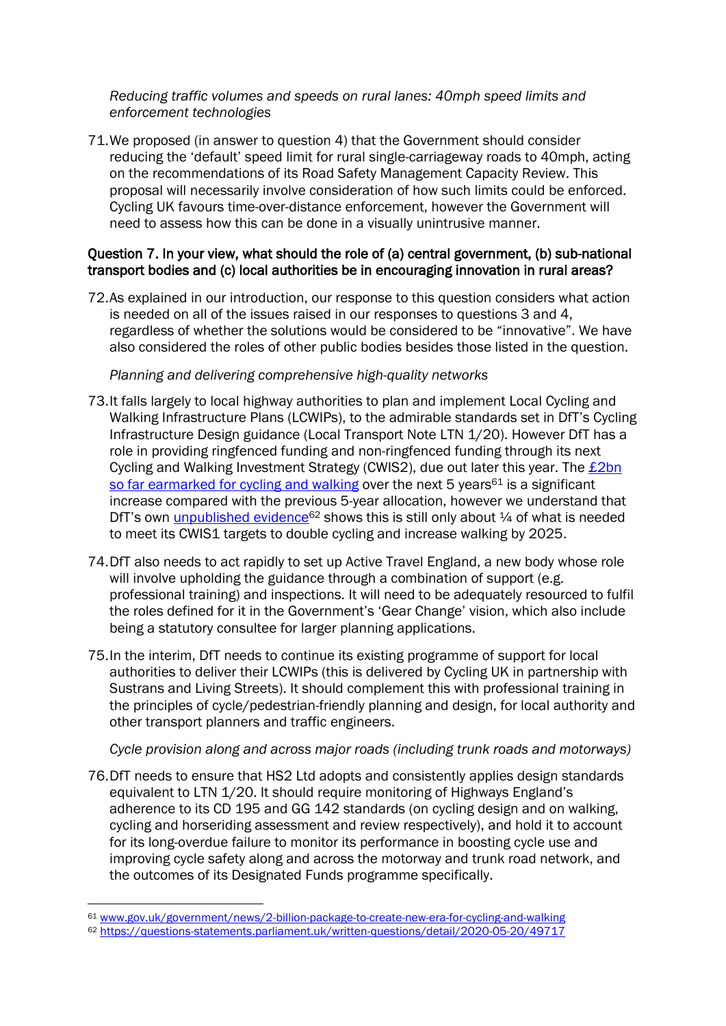*Reducing traffic volumes and speeds on rural lanes: 40mph speed limits and enforcement technologies*

71.We proposed (in answer to question 4) that the Government should consider reducing the 'default' speed limit for rural single-carriageway roads to 40mph, acting on the recommendations of its Road Safety Management Capacity Review. This proposal will necessarily involve consideration of how such limits could be enforced. Cycling UK favours time-over-distance enforcement, however the Government will need to assess how this can be done in a visually unintrusive manner.

#### Question 7. In your view, what should the role of (a) central government, (b) sub-national transport bodies and (c) local authorities be in encouraging innovation in rural areas?

72.As explained in our introduction, our response to this question considers what action is needed on all of the issues raised in our responses to questions 3 and 4, regardless of whether the solutions would be considered to be "innovative". We have also considered the roles of other public bodies besides those listed in the question.

#### *Planning and delivering comprehensive high-quality networks*

- 73.It falls largely to local highway authorities to plan and implement Local Cycling and Walking Infrastructure Plans (LCWIPs), to the admirable standards set in DfT's Cycling Infrastructure Design guidance (Local Transport Note LTN 1/20). However DfT has a role in providing ringfenced funding and non-ringfenced funding through its next Cycling and Walking Investment Strategy (CWIS2), due out later this year. The £2bn [so far earmarked for cycling and walking](http://www.gov.uk/government/news/2-billion-package-to-create-new-era-for-cycling-and-walking) over the next 5 years<sup>61</sup> is a significant increase compared with the previous 5-year allocation, however we understand that DfT's own [unpublished evidence](https://questions-statements.parliament.uk/written-questions/detail/2020-05-20/49717)<sup>62</sup> shows this is still only about  $\frac{1}{4}$  of what is needed to meet its CWIS1 targets to double cycling and increase walking by 2025.
- 74.DfT also needs to act rapidly to set up Active Travel England, a new body whose role will involve upholding the guidance through a combination of support (e.g. professional training) and inspections. It will need to be adequately resourced to fulfil the roles defined for it in the Government's 'Gear Change' vision, which also include being a statutory consultee for larger planning applications.
- 75.In the interim, DfT needs to continue its existing programme of support for local authorities to deliver their LCWIPs (this is delivered by Cycling UK in partnership with Sustrans and Living Streets). It should complement this with professional training in the principles of cycle/pedestrian-friendly planning and design, for local authority and other transport planners and traffic engineers.

## *Cycle provision along and across major roads (including trunk roads and motorways)*

76.DfT needs to ensure that HS2 Ltd adopts and consistently applies design standards equivalent to LTN 1/20. It should require monitoring of Highways England's adherence to its CD 195 and GG 142 standards (on cycling design and on walking, cycling and horseriding assessment and review respectively), and hold it to account for its long-overdue failure to monitor its performance in boosting cycle use and improving cycle safety along and across the motorway and trunk road network, and the outcomes of its Designated Funds programme specifically.

<sup>61</sup> [www.gov.uk/government/news/2-billion-package-to-create-new-era-for-cycling-and-walking](http://www.gov.uk/government/news/2-billion-package-to-create-new-era-for-cycling-and-walking)

<sup>62</sup> <https://questions-statements.parliament.uk/written-questions/detail/2020-05-20/49717>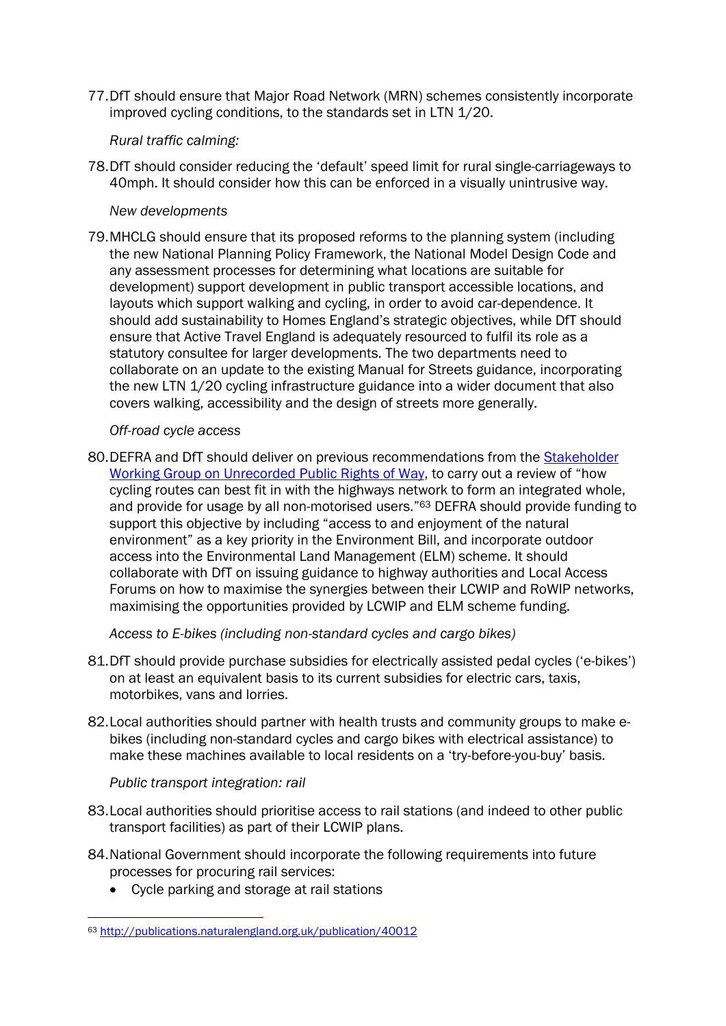77.DfT should ensure that Major Road Network (MRN) schemes consistently incorporate improved cycling conditions, to the standards set in LTN 1/20.

## *Rural traffic calming:*

78.DfT should consider reducing the 'default' speed limit for rural single-carriageways to 40mph. It should consider how this can be enforced in a visually unintrusive way.

### *New developments*

79.MHCLG should ensure that its proposed reforms to the planning system (including the new National Planning Policy Framework, the National Model Design Code and any assessment processes for determining what locations are suitable for development) support development in public transport accessible locations, and layouts which support walking and cycling, in order to avoid car-dependence. It should add sustainability to Homes England's strategic objectives, while DfT should ensure that Active Travel England is adequately resourced to fulfil its role as a statutory consultee for larger developments. The two departments need to collaborate on an update to the existing Manual for Streets guidance, incorporating the new LTN 1/20 cycling infrastructure guidance into a wider document that also covers walking, accessibility and the design of streets more generally.

## *Off-road cycle access*

80.DEFRA and DfT should deliver on previous recommendations from the **Stakeholder** [Working Group on Unrecorded Public Rights of Way,](http://publications.naturalengland.org.uk/publication/40012) to carry out a review of "how cycling routes can best fit in with the highways network to form an integrated whole, and provide for usage by all non-motorised users."<sup>63</sup> DEFRA should provide funding to support this objective by including "access to and enjoyment of the natural environment" as a key priority in the Environment Bill, and incorporate outdoor access into the Environmental Land Management (ELM) scheme. It should collaborate with DfT on issuing guidance to highway authorities and Local Access Forums on how to maximise the synergies between their LCWIP and RoWIP networks, maximising the opportunities provided by LCWIP and ELM scheme funding.

*Access to E-bikes (including non-standard cycles and cargo bikes)*

- 81.DfT should provide purchase subsidies for electrically assisted pedal cycles ('e-bikes') on at least an equivalent basis to its current subsidies for electric cars, taxis, motorbikes, vans and lorries.
- 82.Local authorities should partner with health trusts and community groups to make ebikes (including non-standard cycles and cargo bikes with electrical assistance) to make these machines available to local residents on a 'try-before-you-buy' basis.

## *Public transport integration: rail*

- 83.Local authorities should prioritise access to rail stations (and indeed to other public transport facilities) as part of their LCWIP plans.
- 84.National Government should incorporate the following requirements into future processes for procuring rail services:
	- Cycle parking and storage at rail stations

<sup>63</sup> <http://publications.naturalengland.org.uk/publication/40012>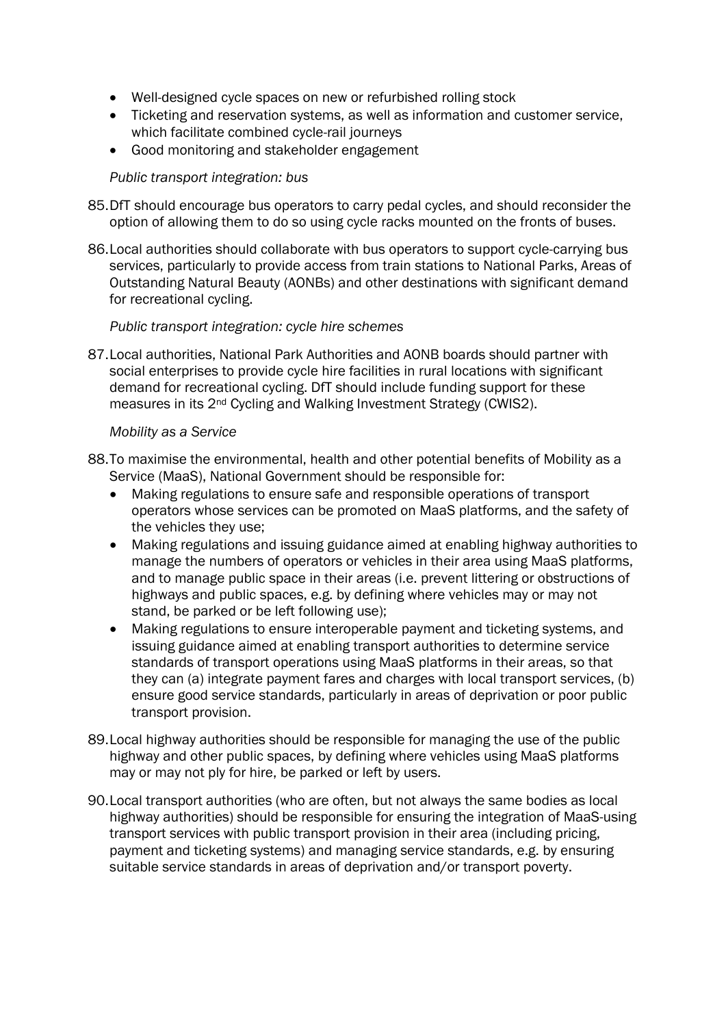- Well-designed cycle spaces on new or refurbished rolling stock
- Ticketing and reservation systems, as well as information and customer service, which facilitate combined cycle-rail journeys
- Good monitoring and stakeholder engagement

#### *Public transport integration: bus*

- 85.DfT should encourage bus operators to carry pedal cycles, and should reconsider the option of allowing them to do so using cycle racks mounted on the fronts of buses.
- 86.Local authorities should collaborate with bus operators to support cycle-carrying bus services, particularly to provide access from train stations to National Parks, Areas of Outstanding Natural Beauty (AONBs) and other destinations with significant demand for recreational cycling.

#### *Public transport integration: cycle hire schemes*

87.Local authorities, National Park Authorities and AONB boards should partner with social enterprises to provide cycle hire facilities in rural locations with significant demand for recreational cycling. DfT should include funding support for these measures in its 2nd Cycling and Walking Investment Strategy (CWIS2).

#### *Mobility as a Service*

- 88.To maximise the environmental, health and other potential benefits of Mobility as a Service (MaaS), National Government should be responsible for:
	- Making regulations to ensure safe and responsible operations of transport operators whose services can be promoted on MaaS platforms, and the safety of the vehicles they use;
	- Making regulations and issuing guidance aimed at enabling highway authorities to manage the numbers of operators or vehicles in their area using MaaS platforms, and to manage public space in their areas (i.e. prevent littering or obstructions of highways and public spaces, e.g. by defining where vehicles may or may not stand, be parked or be left following use);
	- Making regulations to ensure interoperable payment and ticketing systems, and issuing guidance aimed at enabling transport authorities to determine service standards of transport operations using MaaS platforms in their areas, so that they can (a) integrate payment fares and charges with local transport services, (b) ensure good service standards, particularly in areas of deprivation or poor public transport provision.
- 89.Local highway authorities should be responsible for managing the use of the public highway and other public spaces, by defining where vehicles using MaaS platforms may or may not ply for hire, be parked or left by users.
- 90.Local transport authorities (who are often, but not always the same bodies as local highway authorities) should be responsible for ensuring the integration of MaaS-using transport services with public transport provision in their area (including pricing, payment and ticketing systems) and managing service standards, e.g. by ensuring suitable service standards in areas of deprivation and/or transport poverty.